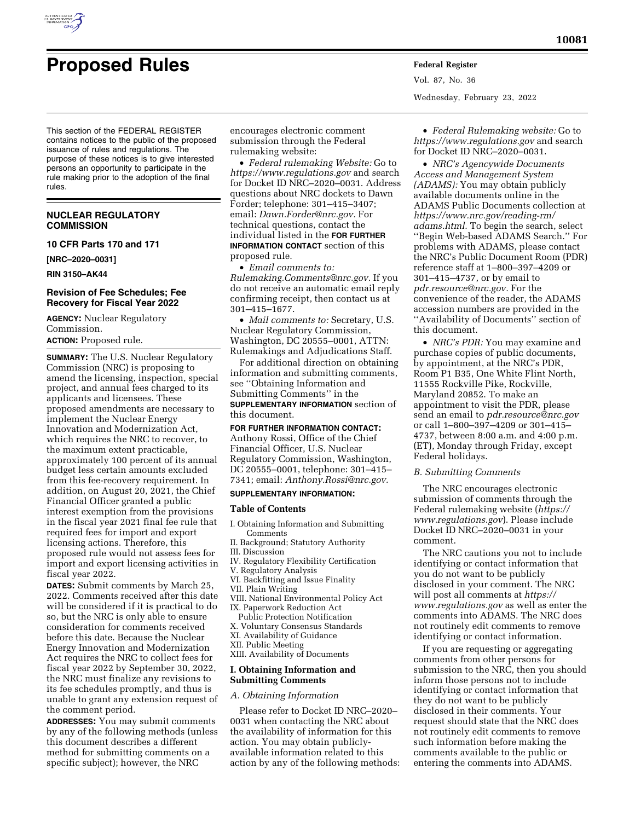

Vol. 87, No. 36 Wednesday, February 23, 2022

This section of the FEDERAL REGISTER contains notices to the public of the proposed issuance of rules and regulations. The purpose of these notices is to give interested persons an opportunity to participate in the rule making prior to the adoption of the final rules.

## **NUCLEAR REGULATORY COMMISSION**

## **10 CFR Parts 170 and 171**

**[NRC–2020–0031]** 

**RIN 3150–AK44** 

## **Revision of Fee Schedules; Fee Recovery for Fiscal Year 2022**

**AGENCY:** Nuclear Regulatory Commission.

**ACTION:** Proposed rule.

**SUMMARY:** The U.S. Nuclear Regulatory Commission (NRC) is proposing to amend the licensing, inspection, special project, and annual fees charged to its applicants and licensees. These proposed amendments are necessary to implement the Nuclear Energy Innovation and Modernization Act, which requires the NRC to recover, to the maximum extent practicable, approximately 100 percent of its annual budget less certain amounts excluded from this fee-recovery requirement. In addition, on August 20, 2021, the Chief Financial Officer granted a public interest exemption from the provisions in the fiscal year 2021 final fee rule that required fees for import and export licensing actions. Therefore, this proposed rule would not assess fees for import and export licensing activities in fiscal year 2022.

**DATES:** Submit comments by March 25, 2022. Comments received after this date will be considered if it is practical to do so, but the NRC is only able to ensure consideration for comments received before this date. Because the Nuclear Energy Innovation and Modernization Act requires the NRC to collect fees for fiscal year 2022 by September 30, 2022, the NRC must finalize any revisions to its fee schedules promptly, and thus is unable to grant any extension request of the comment period.

**ADDRESSES:** You may submit comments by any of the following methods (unless this document describes a different method for submitting comments on a specific subject); however, the NRC

encourages electronic comment submission through the Federal rulemaking website:

• *Federal rulemaking Website:* Go to *<https://www.regulations.gov>* and search for Docket ID NRC–2020–0031. Address questions about NRC dockets to Dawn Forder; telephone: 301–415–3407; email: *[Dawn.Forder@nrc.gov.](mailto:Dawn.Forder@nrc.gov)* For technical questions, contact the individual listed in the **FOR FURTHER INFORMATION CONTACT** section of this proposed rule.

• *Email comments to: [Rulemaking.Comments@nrc.gov.](mailto:Rulemaking.Comments@nrc.gov)* If you do not receive an automatic email reply confirming receipt, then contact us at 301–415–1677.

• *Mail comments to:* Secretary, U.S. Nuclear Regulatory Commission, Washington, DC 20555–0001, ATTN: Rulemakings and Adjudications Staff.

For additional direction on obtaining information and submitting comments, see ''Obtaining Information and Submitting Comments'' in the **SUPPLEMENTARY INFORMATION** section of

this document.

## **FOR FURTHER INFORMATION CONTACT:**

Anthony Rossi, Office of the Chief Financial Officer, U.S. Nuclear Regulatory Commission, Washington, DC 20555–0001, telephone: 301–415– 7341; email: *[Anthony.Rossi@nrc.gov.](mailto:Anthony.Rossi@nrc.gov)* 

## **SUPPLEMENTARY INFORMATION:**

#### **Table of Contents**

- I. Obtaining Information and Submitting **Comments**
- II. Background; Statutory Authority
- III. Discussion
- IV. Regulatory Flexibility Certification
- V. Regulatory Analysis
- VI. Backfitting and Issue Finality
- VII. Plain Writing
- VIII. National Environmental Policy Act IX. Paperwork Reduction Act
- Public Protection Notification
- X. Voluntary Consensus Standards
- XI. Availability of Guidance
- XII. Public Meeting
- XIII. Availability of Documents

#### **I. Obtaining Information and Submitting Comments**

### *A. Obtaining Information*

Please refer to Docket ID NRC–2020– 0031 when contacting the NRC about the availability of information for this action. You may obtain publiclyavailable information related to this action by any of the following methods:

• *Federal Rulemaking website:* Go to *<https://www.regulations.gov>* and search for Docket ID NRC–2020–0031.

• *NRC's Agencywide Documents Access and Management System (ADAMS):* You may obtain publicly available documents online in the ADAMS Public Documents collection at *[https://www.nrc.gov/reading-rm/](https://www.nrc.gov/reading-rm/adams.html)  [adams.html.](https://www.nrc.gov/reading-rm/adams.html)* To begin the search, select ''Begin Web-based ADAMS Search.'' For problems with ADAMS, please contact the NRC's Public Document Room (PDR) reference staff at 1–800–397–4209 or 301–415–4737, or by email to *[pdr.resource@nrc.gov.](mailto:pdr.resource@nrc.gov)* For the convenience of the reader, the ADAMS accession numbers are provided in the ''Availability of Documents'' section of this document.

• *NRC's PDR:* You may examine and purchase copies of public documents, by appointment, at the NRC's PDR, Room P1 B35, One White Flint North, 11555 Rockville Pike, Rockville, Maryland 20852. To make an appointment to visit the PDR, please send an email to *[pdr.resource@nrc.gov](mailto:pdr.resource@nrc.gov)*  or call 1–800–397–4209 or 301–415– 4737, between 8:00 a.m. and 4:00 p.m. (ET), Monday through Friday, except Federal holidays.

#### *B. Submitting Comments*

The NRC encourages electronic submission of comments through the Federal rulemaking website (*[https://](https://www.regulations.gov) [www.regulations.gov](https://www.regulations.gov)*). Please include Docket ID NRC–2020–0031 in your comment.

The NRC cautions you not to include identifying or contact information that you do not want to be publicly disclosed in your comment. The NRC will post all comments at *[https://](https://www.regulations.gov) [www.regulations.gov](https://www.regulations.gov)* as well as enter the comments into ADAMS. The NRC does not routinely edit comments to remove identifying or contact information.

If you are requesting or aggregating comments from other persons for submission to the NRC, then you should inform those persons not to include identifying or contact information that they do not want to be publicly disclosed in their comments. Your request should state that the NRC does not routinely edit comments to remove such information before making the comments available to the public or entering the comments into ADAMS.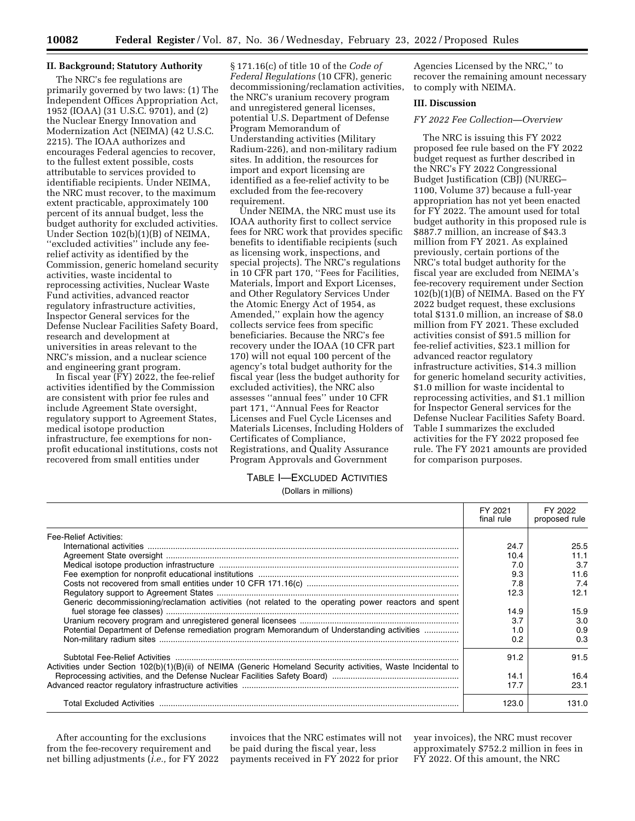## **II. Background; Statutory Authority**

The NRC's fee regulations are primarily governed by two laws: (1) The Independent Offices Appropriation Act, 1952 (IOAA) (31 U.S.C. 9701), and (2) the Nuclear Energy Innovation and Modernization Act (NEIMA) (42 U.S.C. 2215). The IOAA authorizes and encourages Federal agencies to recover, to the fullest extent possible, costs attributable to services provided to identifiable recipients. Under NEIMA, the NRC must recover, to the maximum extent practicable, approximately 100 percent of its annual budget, less the budget authority for excluded activities. Under Section 102(b)(1)(B) of NEIMA, ''excluded activities'' include any feerelief activity as identified by the Commission, generic homeland security activities, waste incidental to reprocessing activities, Nuclear Waste Fund activities, advanced reactor regulatory infrastructure activities, Inspector General services for the Defense Nuclear Facilities Safety Board, research and development at universities in areas relevant to the NRC's mission, and a nuclear science and engineering grant program.

In fiscal year (FY) 2022, the fee-relief activities identified by the Commission are consistent with prior fee rules and include Agreement State oversight, regulatory support to Agreement States, medical isotope production infrastructure, fee exemptions for nonprofit educational institutions, costs not recovered from small entities under

§ 171.16(c) of title 10 of the *Code of Federal Regulations* (10 CFR), generic decommissioning/reclamation activities, the NRC's uranium recovery program and unregistered general licenses, potential U.S. Department of Defense Program Memorandum of Understanding activities (Military Radium-226), and non-military radium sites. In addition, the resources for import and export licensing are identified as a fee-relief activity to be excluded from the fee-recovery requirement.

Under NEIMA, the NRC must use its IOAA authority first to collect service fees for NRC work that provides specific benefits to identifiable recipients (such as licensing work, inspections, and special projects). The NRC's regulations in 10 CFR part 170, ''Fees for Facilities, Materials, Import and Export Licenses, and Other Regulatory Services Under the Atomic Energy Act of 1954, as Amended,'' explain how the agency collects service fees from specific beneficiaries. Because the NRC's fee recovery under the IOAA (10 CFR part 170) will not equal 100 percent of the agency's total budget authority for the fiscal year (less the budget authority for excluded activities), the NRC also assesses ''annual fees'' under 10 CFR part 171, ''Annual Fees for Reactor Licenses and Fuel Cycle Licenses and Materials Licenses, Including Holders of Certificates of Compliance, Registrations, and Quality Assurance Program Approvals and Government

Agencies Licensed by the NRC,'' to recover the remaining amount necessary to comply with NEIMA.

### **III. Discussion**

#### *FY 2022 Fee Collection—Overview*

The NRC is issuing this FY 2022 proposed fee rule based on the FY 2022 budget request as further described in the NRC's FY 2022 Congressional Budget Justification (CBJ) (NUREG– 1100, Volume 37) because a full-year appropriation has not yet been enacted for FY 2022. The amount used for total budget authority in this proposed rule is \$887.7 million, an increase of \$43.3 million from FY 2021. As explained previously, certain portions of the NRC's total budget authority for the fiscal year are excluded from NEIMA's fee-recovery requirement under Section 102(b)(1)(B) of NEIMA. Based on the FY 2022 budget request, these exclusions total \$131.0 million, an increase of \$8.0 million from FY 2021. These excluded activities consist of \$91.5 million for fee-relief activities, \$23.1 million for advanced reactor regulatory infrastructure activities, \$14.3 million for generic homeland security activities, \$1.0 million for waste incidental to reprocessing activities, and \$1.1 million for Inspector General services for the Defense Nuclear Facilities Safety Board. Table I summarizes the excluded activities for the FY 2022 proposed fee rule. The FY 2021 amounts are provided for comparison purposes.

## TABLE I—EXCLUDED ACTIVITIES (Dollars in millions)

|                                                                                                               | FY 2021<br>final rule | FY 2022<br>proposed rule |
|---------------------------------------------------------------------------------------------------------------|-----------------------|--------------------------|
| Fee-Relief Activities:                                                                                        |                       |                          |
|                                                                                                               | 24.7                  | 25.5                     |
|                                                                                                               | 10.4                  | 11.1                     |
|                                                                                                               | 7.0                   | 3.7                      |
|                                                                                                               | 9.3                   | 11.6                     |
|                                                                                                               | 7.8                   | 7.4                      |
|                                                                                                               | 12.3                  | 12.1                     |
| Generic decommissioning/reclamation activities (not related to the operating power reactors and spent         |                       |                          |
|                                                                                                               | 14.9                  | 15.9                     |
|                                                                                                               | 3.7                   | 3.0                      |
| Potential Department of Defense remediation program Memorandum of Understanding activities                    | 1.0                   | 0.9                      |
|                                                                                                               | 0.2                   | 0.3                      |
| Activities under Section 102(b)(1)(B)(ii) of NEIMA (Generic Homeland Security activities, Waste Incidental to | 91.2                  | 91.5                     |
|                                                                                                               | 14.1                  | 16.4                     |
|                                                                                                               | 17.7                  | 23.1                     |
|                                                                                                               | 123.0                 | 131.0                    |

After accounting for the exclusions from the fee-recovery requirement and net billing adjustments (*i.e.,* for FY 2022

invoices that the NRC estimates will not be paid during the fiscal year, less payments received in FY 2022 for prior

year invoices), the NRC must recover approximately \$752.2 million in fees in FY 2022. Of this amount, the NRC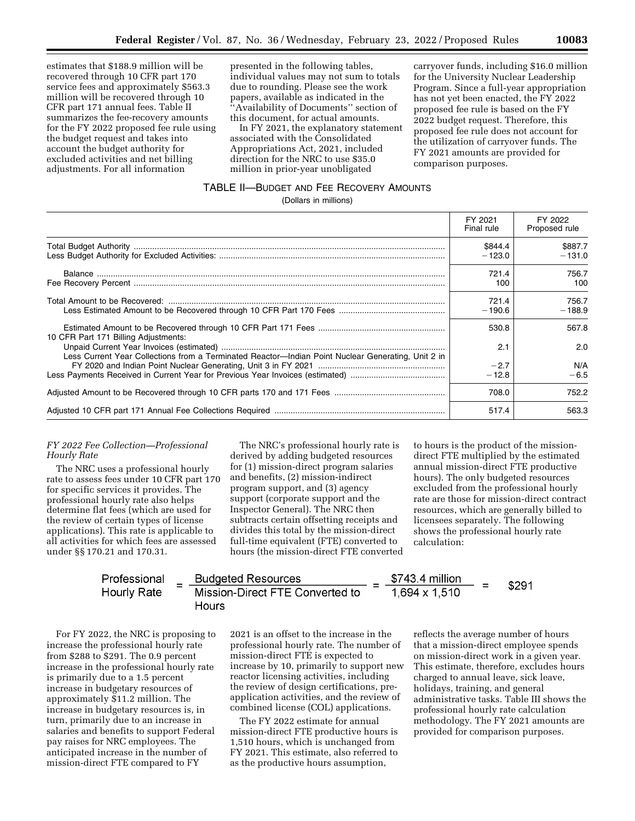estimates that \$188.9 million will be recovered through 10 CFR part 170 service fees and approximately \$563.3 million will be recovered through 10 CFR part 171 annual fees. Table II summarizes the fee-recovery amounts for the FY 2022 proposed fee rule using the budget request and takes into account the budget authority for excluded activities and net billing adjustments. For all information

presented in the following tables, individual values may not sum to totals due to rounding. Please see the work papers, available as indicated in the ''Availability of Documents'' section of this document, for actual amounts.

In FY 2021, the explanatory statement associated with the Consolidated Appropriations Act, 2021, included direction for the NRC to use \$35.0 million in prior-year unobligated

carryover funds, including \$16.0 million for the University Nuclear Leadership Program. Since a full-year appropriation has not yet been enacted, the FY 2022 proposed fee rule is based on the FY 2022 budget request. Therefore, this proposed fee rule does not account for the utilization of carryover funds. The FY 2021 amounts are provided for comparison purposes.

## TABLE II—BUDGET AND FEE RECOVERY AMOUNTS

(Dollars in millions)

|                                                                                                    | FY 2021<br>Final rule | FY 2022<br>Proposed rule |
|----------------------------------------------------------------------------------------------------|-----------------------|--------------------------|
|                                                                                                    | \$844.4<br>$-123.0$   | \$887.7<br>$-131.0$      |
|                                                                                                    | 721.4<br>100          | 756.7<br>100             |
|                                                                                                    | 721.4<br>$-190.6$     | 756.7<br>$-188.9$        |
| 10 CFR Part 171 Billing Adjustments:                                                               | 530.8                 | 567.8                    |
| Less Current Year Collections from a Terminated Reactor—Indian Point Nuclear Generating, Unit 2 in | 2.1                   | 2.0                      |
|                                                                                                    | $-2.7$<br>$-12.8$     | N/A<br>$-6.5$            |
|                                                                                                    | 708.0                 | 752.2                    |
|                                                                                                    | 517.4                 | 563.3                    |

#### *FY 2022 Fee Collection—Professional Hourly Rate*

The NRC uses a professional hourly rate to assess fees under 10 CFR part 170 for specific services it provides. The professional hourly rate also helps determine flat fees (which are used for the review of certain types of license applications). This rate is applicable to all activities for which fees are assessed under §§ 170.21 and 170.31.

The NRC's professional hourly rate is derived by adding budgeted resources for (1) mission-direct program salaries and benefits, (2) mission-indirect program support, and (3) agency support (corporate support and the Inspector General). The NRC then subtracts certain offsetting receipts and divides this total by the mission-direct full-time equivalent (FTE) converted to hours (the mission-direct FTE converted

to hours is the product of the missiondirect FTE multiplied by the estimated annual mission-direct FTE productive hours). The only budgeted resources excluded from the professional hourly rate are those for mission-direct contract resources, which are generally billed to licensees separately. The following shows the professional hourly rate calculation:

Professor 291

\nProofessional

\n
$$
= \frac{\text{Budgeted Resources}}{\text{Mission-Direct FTE Converted to}}
$$
\n
$$
= \frac{\$743.4 \text{ million}}{1,694 \times 1,510} = \$291
$$
\nFlours

For FY 2022, the NRC is proposing to increase the professional hourly rate from \$288 to \$291. The 0.9 percent increase in the professional hourly rate is primarily due to a 1.5 percent increase in budgetary resources of approximately \$11.2 million. The increase in budgetary resources is, in turn, primarily due to an increase in salaries and benefits to support Federal pay raises for NRC employees. The anticipated increase in the number of mission-direct FTE compared to FY

2021 is an offset to the increase in the professional hourly rate. The number of mission-direct FTE is expected to increase by 10, primarily to support new reactor licensing activities, including the review of design certifications, preapplication activities, and the review of combined license (COL) applications.

The FY 2022 estimate for annual mission-direct FTE productive hours is 1,510 hours, which is unchanged from FY 2021. This estimate, also referred to as the productive hours assumption,

reflects the average number of hours that a mission-direct employee spends on mission-direct work in a given year. This estimate, therefore, excludes hours charged to annual leave, sick leave, holidays, training, and general administrative tasks. Table III shows the professional hourly rate calculation methodology. The FY 2021 amounts are provided for comparison purposes.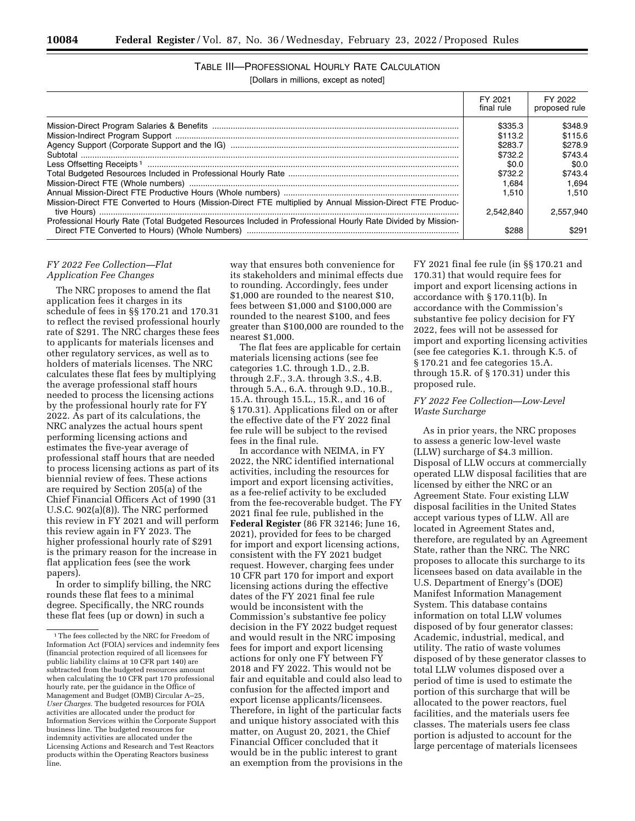TABLE III—PROFESSIONAL HOURLY RATE CALCULATION

[Dollars in millions, except as noted]

|                                                                                                             | FY 2021<br>final rule | FY 2022<br>proposed rule |
|-------------------------------------------------------------------------------------------------------------|-----------------------|--------------------------|
|                                                                                                             | \$335.3               | \$348.9                  |
|                                                                                                             | \$113.2               | \$115.6                  |
|                                                                                                             | \$283.7               | \$278.9                  |
|                                                                                                             | \$732.2               | \$743.4                  |
|                                                                                                             | \$0.0                 | \$0.0                    |
|                                                                                                             | \$732.2               | \$743.4                  |
|                                                                                                             | 1.684                 | 1.694                    |
|                                                                                                             | 1.510                 | 1.510                    |
| Mission-Direct FTE Converted to Hours (Mission-Direct FTE multiplied by Annual Mission-Direct FTE Produc-   |                       |                          |
|                                                                                                             | 2.542.840             | 2.557,940                |
| Professional Hourly Rate (Total Budgeted Resources Included in Professional Hourly Rate Divided by Mission- | \$288                 | \$291                    |

### *FY 2022 Fee Collection—Flat Application Fee Changes*

The NRC proposes to amend the flat application fees it charges in its schedule of fees in §§ 170.21 and 170.31 to reflect the revised professional hourly rate of \$291. The NRC charges these fees to applicants for materials licenses and other regulatory services, as well as to holders of materials licenses. The NRC calculates these flat fees by multiplying the average professional staff hours needed to process the licensing actions by the professional hourly rate for FY 2022. As part of its calculations, the NRC analyzes the actual hours spent performing licensing actions and estimates the five-year average of professional staff hours that are needed to process licensing actions as part of its biennial review of fees. These actions are required by Section 205(a) of the Chief Financial Officers Act of 1990 (31 U.S.C. 902(a)(8)). The NRC performed this review in FY 2021 and will perform this review again in FY 2023. The higher professional hourly rate of \$291 is the primary reason for the increase in flat application fees (see the work papers).

In order to simplify billing, the NRC rounds these flat fees to a minimal degree. Specifically, the NRC rounds these flat fees (up or down) in such a

way that ensures both convenience for its stakeholders and minimal effects due to rounding. Accordingly, fees under \$1,000 are rounded to the nearest \$10, fees between \$1,000 and \$100,000 are rounded to the nearest \$100, and fees greater than \$100,000 are rounded to the nearest \$1,000.

The flat fees are applicable for certain materials licensing actions (see fee categories 1.C. through 1.D., 2.B. through 2.F., 3.A. through 3.S., 4.B. through 5.A., 6.A. through 9.D., 10.B., 15.A. through 15.L., 15.R., and 16 of § 170.31). Applications filed on or after the effective date of the FY 2022 final fee rule will be subject to the revised fees in the final rule.

In accordance with NEIMA, in FY 2022, the NRC identified international activities, including the resources for import and export licensing activities, as a fee-relief activity to be excluded from the fee-recoverable budget. The FY 2021 final fee rule, published in the **Federal Register** (86 FR 32146; June 16, 2021), provided for fees to be charged for import and export licensing actions, consistent with the FY 2021 budget request. However, charging fees under 10 CFR part 170 for import and export licensing actions during the effective dates of the FY 2021 final fee rule would be inconsistent with the Commission's substantive fee policy decision in the FY 2022 budget request and would result in the NRC imposing fees for import and export licensing actions for only one FY between FY 2018 and FY 2022. This would not be fair and equitable and could also lead to confusion for the affected import and export license applicants/licensees. Therefore, in light of the particular facts and unique history associated with this matter, on August 20, 2021, the Chief Financial Officer concluded that it would be in the public interest to grant an exemption from the provisions in the

FY 2021 final fee rule (in §§ 170.21 and 170.31) that would require fees for import and export licensing actions in accordance with § 170.11(b). In accordance with the Commission's substantive fee policy decision for FY 2022, fees will not be assessed for import and exporting licensing activities (see fee categories K.1. through K.5. of § 170.21 and fee categories 15.A. through 15.R. of § 170.31) under this proposed rule.

## *FY 2022 Fee Collection—Low-Level Waste Surcharge*

As in prior years, the NRC proposes to assess a generic low-level waste (LLW) surcharge of \$4.3 million. Disposal of LLW occurs at commercially operated LLW disposal facilities that are licensed by either the NRC or an Agreement State. Four existing LLW disposal facilities in the United States accept various types of LLW. All are located in Agreement States and, therefore, are regulated by an Agreement State, rather than the NRC. The NRC proposes to allocate this surcharge to its licensees based on data available in the U.S. Department of Energy's (DOE) Manifest Information Management System. This database contains information on total LLW volumes disposed of by four generator classes: Academic, industrial, medical, and utility. The ratio of waste volumes disposed of by these generator classes to total LLW volumes disposed over a period of time is used to estimate the portion of this surcharge that will be allocated to the power reactors, fuel facilities, and the materials users fee classes. The materials users fee class portion is adjusted to account for the large percentage of materials licensees

<sup>1</sup>The fees collected by the NRC for Freedom of Information Act (FOIA) services and indemnity fees (financial protection required of all licensees for public liability claims at 10 CFR part 140) are subtracted from the budgeted resources amount when calculating the 10 CFR part 170 professional hourly rate, per the guidance in the Office of Management and Budget (OMB) Circular A–25, *User Charges.* The budgeted resources for FOIA activities are allocated under the product for Information Services within the Corporate Support business line. The budgeted resources for indemnity activities are allocated under the Licensing Actions and Research and Test Reactors products within the Operating Reactors business line.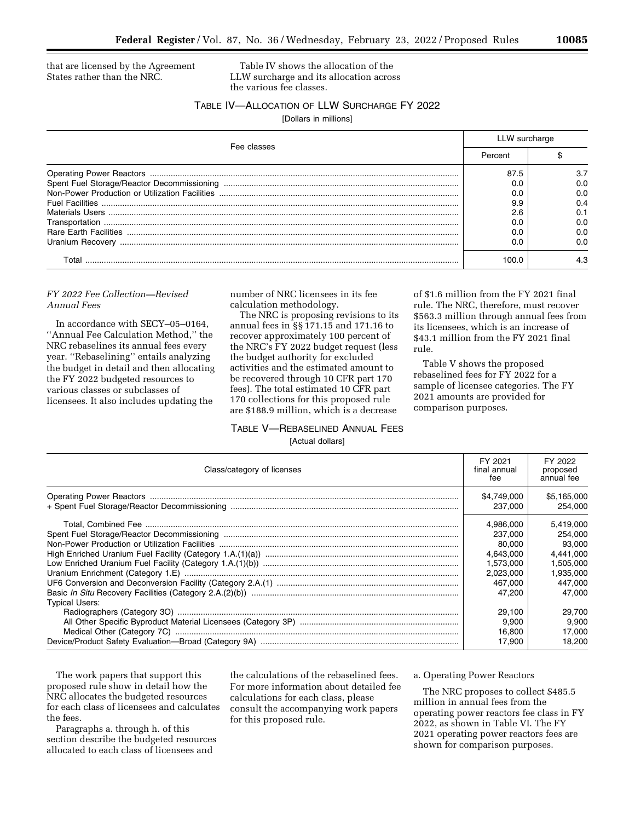that are licensed by the Agreement States rather than the NRC.

Table IV shows the allocation of the LLW surcharge and its allocation across the various fee classes.

## TABLE IV—ALLOCATION OF LLW SURCHARGE FY 2022

[Dollars in millions]

| Fee classes                  | LLW surcharge  |     |
|------------------------------|----------------|-----|
|                              | Percent        |     |
|                              | 87.5           | 3.7 |
|                              |                | 0.0 |
|                              |                | 0.0 |
|                              | 9.9            | 0.4 |
|                              | 2.6            | 0.1 |
|                              |                | 0.0 |
| <b>Rare Earth Facilities</b> |                | 0.0 |
|                              | 0 <sub>c</sub> | 0.0 |
| T∩tal                        | 100.C          | 4.3 |

## *FY 2022 Fee Collection—Revised Annual Fees*

In accordance with SECY–05–0164, ''Annual Fee Calculation Method,'' the NRC rebaselines its annual fees every year. ''Rebaselining'' entails analyzing the budget in detail and then allocating the FY 2022 budgeted resources to various classes or subclasses of licensees. It also includes updating the

number of NRC licensees in its fee calculation methodology.

The NRC is proposing revisions to its annual fees in §§ 171.15 and 171.16 to recover approximately 100 percent of the NRC's FY 2022 budget request (less the budget authority for excluded activities and the estimated amount to be recovered through 10 CFR part 170 fees). The total estimated 10 CFR part 170 collections for this proposed rule are \$188.9 million, which is a decrease

# TABLE V—REBASELINED ANNUAL FEES [Actual dollars]

of \$1.6 million from the FY 2021 final rule. The NRC, therefore, must recover \$563.3 million through annual fees from its licensees, which is an increase of \$43.1 million from the FY 2021 final rule.

Table V shows the proposed rebaselined fees for FY 2022 for a sample of licensee categories. The FY 2021 amounts are provided for comparison purposes.

| Class/category of licenses | FY 2021<br>final annual<br>fee                                                                                          | FY 2022<br>proposed<br>annual fee                                                                                       |
|----------------------------|-------------------------------------------------------------------------------------------------------------------------|-------------------------------------------------------------------------------------------------------------------------|
|                            | \$4,749,000<br>237,000                                                                                                  | \$5,165,000<br>254.000                                                                                                  |
| <b>Typical Users:</b>      | 4.986.000<br>237,000<br>80,000<br>4.643.000<br>1.573.000<br>2.023.000<br>467.000<br>47.200<br>29.100<br>9.900<br>16.800 | 5,419,000<br>254.000<br>93,000<br>4.441.000<br>1,505,000<br>1.935.000<br>447.000<br>47.000<br>29,700<br>9.900<br>17.000 |
|                            | 17.900                                                                                                                  | 18.200                                                                                                                  |

The work papers that support this proposed rule show in detail how the NRC allocates the budgeted resources for each class of licensees and calculates the fees.

Paragraphs a. through h. of this section describe the budgeted resources allocated to each class of licensees and

the calculations of the rebaselined fees. For more information about detailed fee calculations for each class, please consult the accompanying work papers for this proposed rule.

#### a. Operating Power Reactors

The NRC proposes to collect \$485.5 million in annual fees from the operating power reactors fee class in FY 2022, as shown in Table VI. The FY 2021 operating power reactors fees are shown for comparison purposes.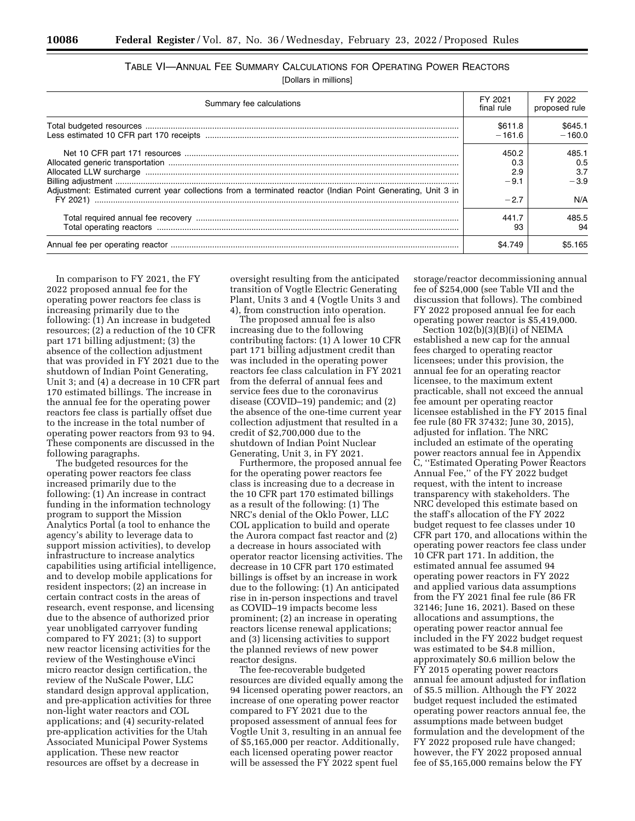| TABLE VI—ANNUAL FEE SUMMARY CALCULATIONS FOR OPERATING POWER REACTORS |  |  |
|-----------------------------------------------------------------------|--|--|
|                                                                       |  |  |

[Dollars in millions]

| Summary fee calculations                                                                                     | FY 2021<br>final rule         | FY 2022<br>proposed rule      |
|--------------------------------------------------------------------------------------------------------------|-------------------------------|-------------------------------|
|                                                                                                              | \$611.8<br>$-161.6$           | \$645.1<br>$-160.0$           |
| Adjustment: Estimated current year collections from a terminated reactor (Indian Point Generating, Unit 3 in | 450.2<br>0.3<br>2.9<br>$-9.1$ | 485.1<br>0.5<br>3.7<br>$-3.9$ |
|                                                                                                              | $-2.7$                        | N/A                           |
|                                                                                                              | 441.7<br>93                   | 485.5                         |
|                                                                                                              | \$4.749                       | \$5.165                       |

In comparison to FY 2021, the FY 2022 proposed annual fee for the operating power reactors fee class is increasing primarily due to the following: (1) An increase in budgeted resources; (2) a reduction of the 10 CFR part 171 billing adjustment; (3) the absence of the collection adjustment that was provided in FY 2021 due to the shutdown of Indian Point Generating, Unit 3; and (4) a decrease in 10 CFR part 170 estimated billings. The increase in the annual fee for the operating power reactors fee class is partially offset due to the increase in the total number of operating power reactors from 93 to 94. These components are discussed in the following paragraphs.

The budgeted resources for the operating power reactors fee class increased primarily due to the following: (1) An increase in contract funding in the information technology program to support the Mission Analytics Portal (a tool to enhance the agency's ability to leverage data to support mission activities), to develop infrastructure to increase analytics capabilities using artificial intelligence, and to develop mobile applications for resident inspectors; (2) an increase in certain contract costs in the areas of research, event response, and licensing due to the absence of authorized prior year unobligated carryover funding compared to FY 2021; (3) to support new reactor licensing activities for the review of the Westinghouse eVinci micro reactor design certification, the review of the NuScale Power, LLC standard design approval application, and pre-application activities for three non-light water reactors and COL applications; and (4) security-related pre-application activities for the Utah Associated Municipal Power Systems application. These new reactor resources are offset by a decrease in

oversight resulting from the anticipated transition of Vogtle Electric Generating Plant, Units 3 and 4 (Vogtle Units 3 and 4), from construction into operation.

The proposed annual fee is also increasing due to the following contributing factors: (1) A lower 10 CFR part 171 billing adjustment credit than was included in the operating power reactors fee class calculation in FY 2021 from the deferral of annual fees and service fees due to the coronavirus disease (COVID–19) pandemic; and (2) the absence of the one-time current year collection adjustment that resulted in a credit of \$2,700,000 due to the shutdown of Indian Point Nuclear Generating, Unit 3, in FY 2021.

Furthermore, the proposed annual fee for the operating power reactors fee class is increasing due to a decrease in the 10 CFR part 170 estimated billings as a result of the following: (1) The NRC's denial of the Oklo Power, LLC COL application to build and operate the Aurora compact fast reactor and (2) a decrease in hours associated with operator reactor licensing activities. The decrease in 10 CFR part 170 estimated billings is offset by an increase in work due to the following: (1) An anticipated rise in in-person inspections and travel as COVID–19 impacts become less prominent; (2) an increase in operating reactors license renewal applications; and (3) licensing activities to support the planned reviews of new power reactor designs.

The fee-recoverable budgeted resources are divided equally among the 94 licensed operating power reactors, an increase of one operating power reactor compared to FY 2021 due to the proposed assessment of annual fees for Vogtle Unit 3, resulting in an annual fee of \$5,165,000 per reactor. Additionally, each licensed operating power reactor will be assessed the FY 2022 spent fuel

storage/reactor decommissioning annual fee of \$254,000 (see Table VII and the discussion that follows). The combined FY 2022 proposed annual fee for each operating power reactor is \$5,419,000.

Section 102(b)(3)(B)(i) of NEIMA established a new cap for the annual fees charged to operating reactor licensees; under this provision, the annual fee for an operating reactor licensee, to the maximum extent practicable, shall not exceed the annual fee amount per operating reactor licensee established in the FY 2015 final fee rule (80 FR 37432; June 30, 2015), adjusted for inflation. The NRC included an estimate of the operating power reactors annual fee in Appendix C, ''Estimated Operating Power Reactors Annual Fee,'' of the FY 2022 budget request, with the intent to increase transparency with stakeholders. The NRC developed this estimate based on the staff's allocation of the FY 2022 budget request to fee classes under 10 CFR part 170, and allocations within the operating power reactors fee class under 10 CFR part 171. In addition, the estimated annual fee assumed 94 operating power reactors in FY 2022 and applied various data assumptions from the FY 2021 final fee rule (86 FR 32146; June 16, 2021). Based on these allocations and assumptions, the operating power reactor annual fee included in the FY 2022 budget request was estimated to be \$4.8 million, approximately \$0.6 million below the FY 2015 operating power reactors annual fee amount adjusted for inflation of \$5.5 million. Although the FY 2022 budget request included the estimated operating power reactors annual fee, the assumptions made between budget formulation and the development of the FY 2022 proposed rule have changed; however, the FY 2022 proposed annual fee of \$5,165,000 remains below the FY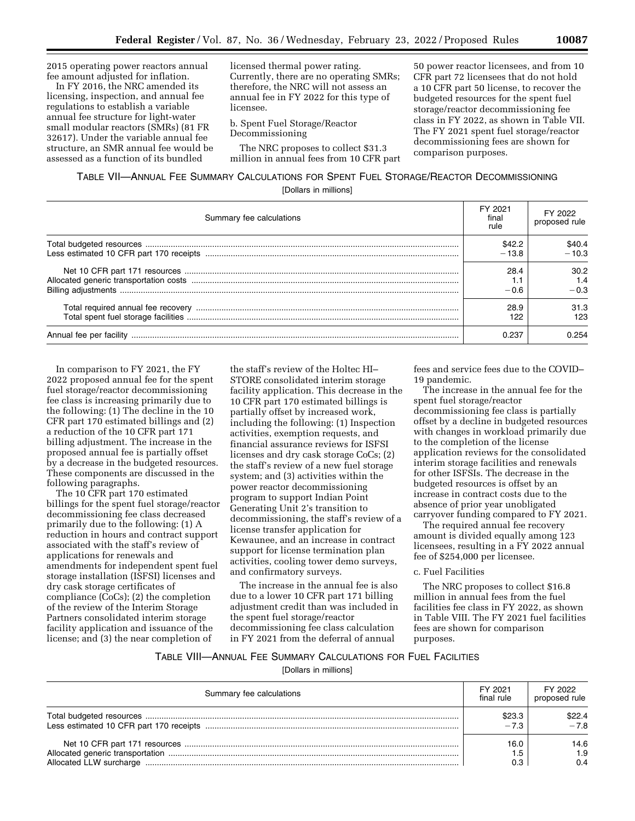2015 operating power reactors annual fee amount adjusted for inflation.

In FY 2016, the NRC amended its licensing, inspection, and annual fee regulations to establish a variable annual fee structure for light-water small modular reactors (SMRs) (81 FR 32617). Under the variable annual fee structure, an SMR annual fee would be assessed as a function of its bundled

licensed thermal power rating. Currently, there are no operating SMRs; therefore, the NRC will not assess an annual fee in FY 2022 for this type of licensee.

b. Spent Fuel Storage/Reactor Decommissioning

The NRC proposes to collect \$31.3 million in annual fees from 10 CFR part

50 power reactor licensees, and from 10 CFR part 72 licensees that do not hold a 10 CFR part 50 license, to recover the budgeted resources for the spent fuel storage/reactor decommissioning fee class in FY 2022, as shown in Table VII. The FY 2021 spent fuel storage/reactor decommissioning fees are shown for comparison purposes.

## TABLE VII—ANNUAL FEE SUMMARY CALCULATIONS FOR SPENT FUEL STORAGE/REACTOR DECOMMISSIONING [Dollars in millions]

| Summary fee calculations | FY 2021<br>final<br>rule | FY 2022<br>proposed rule |
|--------------------------|--------------------------|--------------------------|
|                          | \$42.2<br>$-13.8$        | \$40.4<br>$-10.3$        |
|                          | 28.4<br>$-0.6$           | 30.2<br>1.4<br>$-0.3$    |
|                          | 28.9<br>122              | 31.3<br>123              |
|                          | 0.237                    | 0.254                    |

In comparison to FY 2021, the FY 2022 proposed annual fee for the spent fuel storage/reactor decommissioning fee class is increasing primarily due to the following: (1) The decline in the 10 CFR part 170 estimated billings and (2) a reduction of the 10 CFR part 171 billing adjustment. The increase in the proposed annual fee is partially offset by a decrease in the budgeted resources. These components are discussed in the following paragraphs.

The 10 CFR part 170 estimated billings for the spent fuel storage/reactor decommissioning fee class decreased primarily due to the following: (1) A reduction in hours and contract support associated with the staff's review of applications for renewals and amendments for independent spent fuel storage installation (ISFSI) licenses and dry cask storage certificates of compliance (CoCs); (2) the completion of the review of the Interim Storage Partners consolidated interim storage facility application and issuance of the license; and (3) the near completion of

the staff's review of the Holtec HI– STORE consolidated interim storage facility application. This decrease in the 10 CFR part 170 estimated billings is partially offset by increased work, including the following: (1) Inspection activities, exemption requests, and financial assurance reviews for ISFSI licenses and dry cask storage CoCs; (2) the staff's review of a new fuel storage system; and (3) activities within the power reactor decommissioning program to support Indian Point Generating Unit 2's transition to decommissioning, the staff's review of a license transfer application for Kewaunee, and an increase in contract support for license termination plan activities, cooling tower demo surveys, and confirmatory surveys.

The increase in the annual fee is also due to a lower 10 CFR part 171 billing adjustment credit than was included in the spent fuel storage/reactor decommissioning fee class calculation in FY 2021 from the deferral of annual

fees and service fees due to the COVID– 19 pandemic.

The increase in the annual fee for the spent fuel storage/reactor decommissioning fee class is partially offset by a decline in budgeted resources with changes in workload primarily due to the completion of the license application reviews for the consolidated interim storage facilities and renewals for other ISFSIs. The decrease in the budgeted resources is offset by an increase in contract costs due to the absence of prior year unobligated carryover funding compared to FY 2021.

The required annual fee recovery amount is divided equally among 123 licensees, resulting in a FY 2022 annual fee of \$254,000 per licensee.

#### c. Fuel Facilities

The NRC proposes to collect \$16.8 million in annual fees from the fuel facilities fee class in FY 2022, as shown in Table VIII. The FY 2021 fuel facilities fees are shown for comparison purposes.

## TABLE VIII—ANNUAL FEE SUMMARY CALCULATIONS FOR FUEL FACILITIES

[Dollars in millions]

| Summary fee calculations | FY 2021<br>final rule | FY 2022<br>proposed rule |
|--------------------------|-----------------------|--------------------------|
|                          | \$23.3<br>$-7.3$      | \$22.4<br>$-7.8$         |
|                          | 16.0<br>7.5           | 14.6<br>1.9<br>0.4       |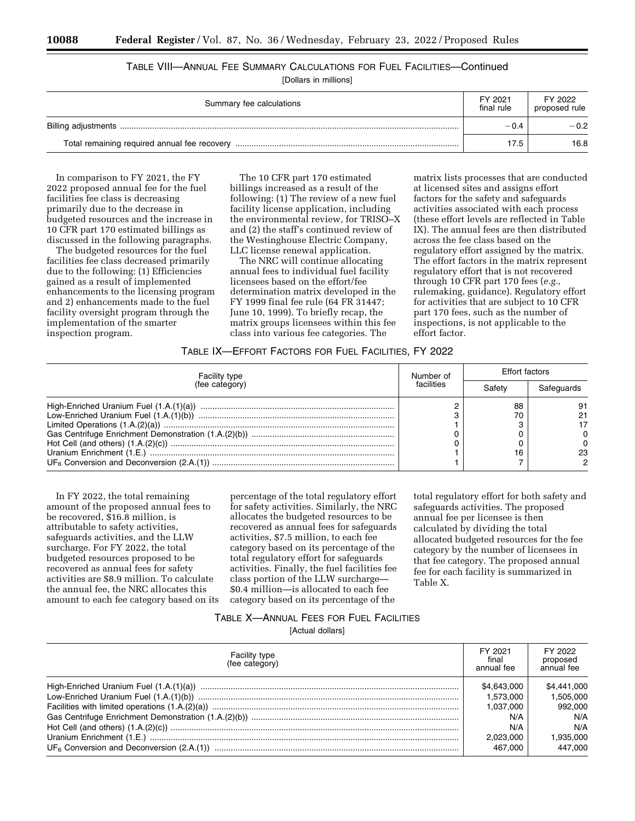# TABLE VIII—ANNUAL FEE SUMMARY CALCULATIONS FOR FUEL FACILITIES—Continued

[Dollars in millions]

| Summary fee calculations | FY 2021<br>final rule | FY 2022<br>proposed rule |
|--------------------------|-----------------------|--------------------------|
|                          | $-0.4$                | $-0.2$                   |
|                          | 17.5                  | 16.8                     |

In comparison to FY 2021, the FY 2022 proposed annual fee for the fuel facilities fee class is decreasing primarily due to the decrease in budgeted resources and the increase in 10 CFR part 170 estimated billings as discussed in the following paragraphs.

The budgeted resources for the fuel facilities fee class decreased primarily due to the following: (1) Efficiencies gained as a result of implemented enhancements to the licensing program and 2) enhancements made to the fuel facility oversight program through the implementation of the smarter inspection program.

The 10 CFR part 170 estimated billings increased as a result of the following: (1) The review of a new fuel facility license application, including the environmental review, for TRISO–X and (2) the staff's continued review of the Westinghouse Electric Company, LLC license renewal application.

The NRC will continue allocating annual fees to individual fuel facility licensees based on the effort/fee determination matrix developed in the FY 1999 final fee rule (64 FR 31447; June 10, 1999). To briefly recap, the matrix groups licensees within this fee class into various fee categories. The

matrix lists processes that are conducted at licensed sites and assigns effort factors for the safety and safeguards activities associated with each process (these effort levels are reflected in Table IX). The annual fees are then distributed across the fee class based on the regulatory effort assigned by the matrix. The effort factors in the matrix represent regulatory effort that is not recovered through 10 CFR part 170 fees (*e.g.,*  rulemaking, guidance). Regulatory effort for activities that are subject to 10 CFR part 170 fees, such as the number of inspections, is not applicable to the effort factor.

#### TABLE IX—EFFORT FACTORS FOR FUEL FACILITIES, FY 2022

| <b>Facility type</b> | Number of<br>facilities | <b>Effort factors</b> |            |
|----------------------|-------------------------|-----------------------|------------|
| (fee category)       |                         |                       | Safeguards |
|                      |                         | 88                    | 23         |

In FY 2022, the total remaining amount of the proposed annual fees to be recovered, \$16.8 million, is attributable to safety activities, safeguards activities, and the LLW surcharge. For FY 2022, the total budgeted resources proposed to be recovered as annual fees for safety activities are \$8.9 million. To calculate the annual fee, the NRC allocates this amount to each fee category based on its

percentage of the total regulatory effort for safety activities. Similarly, the NRC allocates the budgeted resources to be recovered as annual fees for safeguards activities, \$7.5 million, to each fee category based on its percentage of the total regulatory effort for safeguards activities. Finally, the fuel facilities fee class portion of the LLW surcharge— \$0.4 million—is allocated to each fee category based on its percentage of the

total regulatory effort for both safety and safeguards activities. The proposed annual fee per licensee is then calculated by dividing the total allocated budgeted resources for the fee category by the number of licensees in that fee category. The proposed annual fee for each facility is summarized in Table X.

#### TABLE X—ANNUAL FEES FOR FUEL FACILITIES

[Actual dollars]

| <b>Facility type</b><br>(fee category) | FY 2021<br>final<br>annual fee | FY 2022<br>proposed<br>annual fee |
|----------------------------------------|--------------------------------|-----------------------------------|
|                                        | \$4,643,000                    | \$4,441,000                       |
|                                        | 1.573.000                      | 1.505.000                         |
|                                        | 1.037.000                      | 992.000                           |
|                                        | N/A                            | N/A                               |
|                                        | N/A                            | N/A                               |
|                                        | 2.023.000                      | 1,935,000                         |
|                                        | 467.000                        | 447.000                           |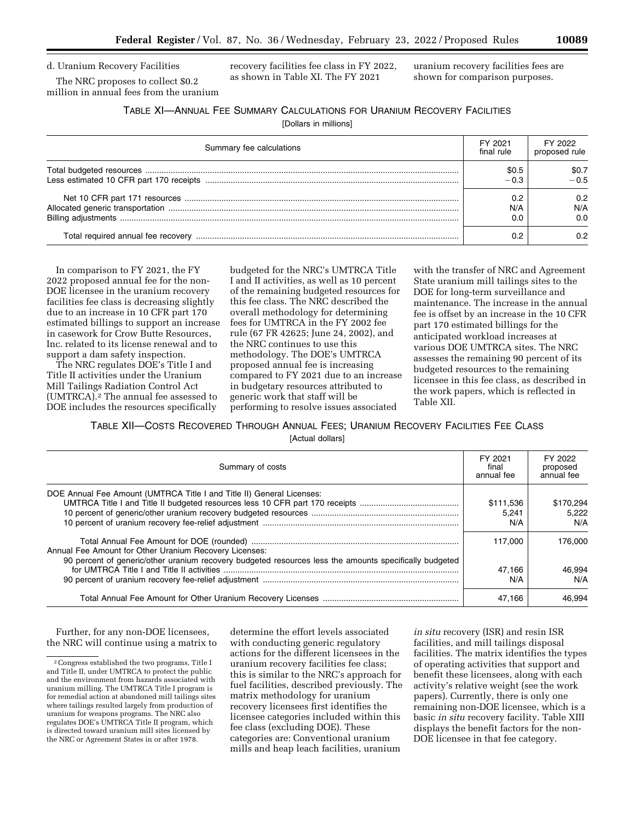The NRC proposes to collect \$0.2 million in annual fees from the uranium recovery facilities fee class in FY 2022, as shown in Table XI. The FY 2021

uranium recovery facilities fees are shown for comparison purposes.

| <b>TABLE XI-ANNUAL FEE SUMMARY CALCULATIONS FOR URANIUM RECOVERY FACILITIES</b> |
|---------------------------------------------------------------------------------|
|---------------------------------------------------------------------------------|

[Dollars in millions]

| Summary fee calculations | FY 2021<br>final rule | FY 2022<br>proposed rule |
|--------------------------|-----------------------|--------------------------|
|                          | \$0.5                 | \$0.7<br>$-0.5$          |
|                          | 0.2<br>N/A            | 0.2<br>N/A<br>0.0        |
|                          |                       | በ 2                      |

In comparison to FY 2021, the FY 2022 proposed annual fee for the non-DOE licensee in the uranium recovery facilities fee class is decreasing slightly due to an increase in 10 CFR part 170 estimated billings to support an increase in casework for Crow Butte Resources, Inc. related to its license renewal and to support a dam safety inspection.

The NRC regulates DOE's Title I and Title II activities under the Uranium Mill Tailings Radiation Control Act (UMTRCA).2 The annual fee assessed to DOE includes the resources specifically budgeted for the NRC's UMTRCA Title I and II activities, as well as 10 percent of the remaining budgeted resources for this fee class. The NRC described the overall methodology for determining fees for UMTRCA in the FY 2002 fee rule (67 FR 42625; June 24, 2002), and the NRC continues to use this methodology. The DOE's UMTRCA proposed annual fee is increasing compared to FY 2021 due to an increase in budgetary resources attributed to generic work that staff will be performing to resolve issues associated

with the transfer of NRC and Agreement State uranium mill tailings sites to the DOE for long-term surveillance and maintenance. The increase in the annual fee is offset by an increase in the 10 CFR part 170 estimated billings for the anticipated workload increases at various DOE UMTRCA sites. The NRC assesses the remaining 90 percent of its budgeted resources to the remaining licensee in this fee class, as described in the work papers, which is reflected in Table XII.

TABLE XII—COSTS RECOVERED THROUGH ANNUAL FEES; URANIUM RECOVERY FACILITIES FEE CLASS [Actual dollars]

| Summary of costs                                                                                                                                                 | FY 2021<br>final<br>annual fee | FY 2022<br>proposed<br>annual fee |
|------------------------------------------------------------------------------------------------------------------------------------------------------------------|--------------------------------|-----------------------------------|
| DOE Annual Fee Amount (UMTRCA Title I and Title II) General Licenses:                                                                                            | \$111,536<br>5.241<br>N/A      | \$170,294<br>5.222<br>N/A         |
| Annual Fee Amount for Other Uranium Recovery Licenses:<br>90 percent of generic/other uranium recovery budgeted resources less the amounts specifically budgeted | 117.000                        | 176,000                           |
|                                                                                                                                                                  | 47.166<br>N/A                  | 46.994<br>N/A                     |
|                                                                                                                                                                  | 47.166                         | 46.994                            |

Further, for any non-DOE licensees, the NRC will continue using a matrix to determine the effort levels associated with conducting generic regulatory actions for the different licensees in the uranium recovery facilities fee class; this is similar to the NRC's approach for fuel facilities, described previously. The matrix methodology for uranium recovery licensees first identifies the licensee categories included within this fee class (excluding DOE). These categories are: Conventional uranium mills and heap leach facilities, uranium

*in situ* recovery (ISR) and resin ISR facilities, and mill tailings disposal facilities. The matrix identifies the types of operating activities that support and benefit these licensees, along with each activity's relative weight (see the work papers). Currently, there is only one remaining non-DOE licensee, which is a basic *in situ* recovery facility. Table XIII displays the benefit factors for the non-DOE licensee in that fee category.

<sup>2</sup>Congress established the two programs, Title I and Title II, under UMTRCA to protect the public and the environment from hazards associated with uranium milling. The UMTRCA Title I program is for remedial action at abandoned mill tailings sites where tailings resulted largely from production of uranium for weapons programs. The NRC also regulates DOE's UMTRCA Title II program, which is directed toward uranium mill sites licensed by the NRC or Agreement States in or after 1978.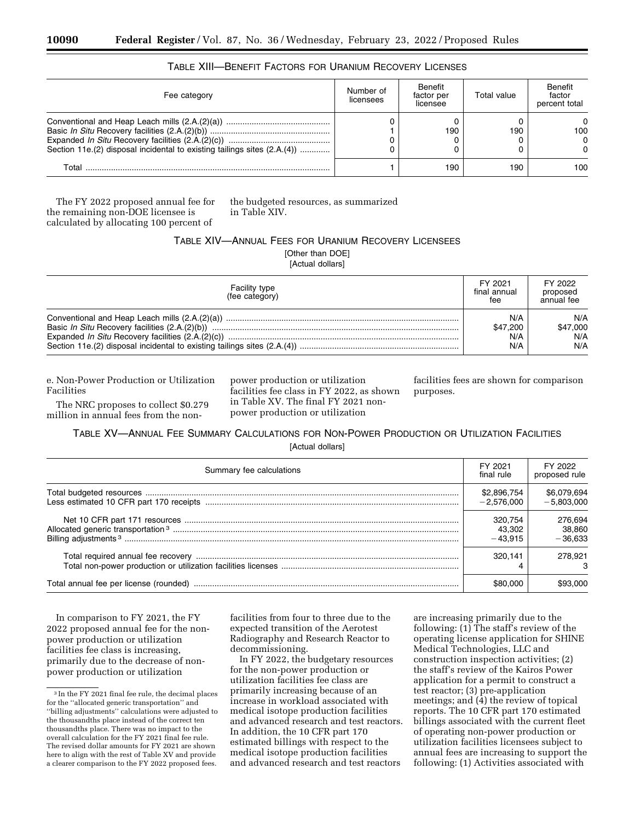| Fee category                                                             | Number of<br>licensees | Benefit<br>factor per<br>licensee | Total value | Benefit<br>factor<br>percent total      |
|--------------------------------------------------------------------------|------------------------|-----------------------------------|-------------|-----------------------------------------|
| Section 11e.(2) disposal incidental to existing tailings sites (2.A.(4)) |                        | 190                               | 190         | $\Omega$<br>100<br>$\Omega$<br>$\Omega$ |
| Total                                                                    |                        | 190                               | 190         | 100                                     |

## TABLE XIII—BENEFIT FACTORS FOR URANIUM RECOVERY LICENSES

The FY 2022 proposed annual fee for the remaining non-DOE licensee is calculated by allocating 100 percent of

the budgeted resources, as summarized in Table XIV.

## TABLE XIV—ANNUAL FEES FOR URANIUM RECOVERY LICENSEES [Other than DOE]

[Actual dollars]

| <b>Facility type</b><br>(fee category) | FY 2021<br>final annual<br>fee | FY 2022<br>proposed<br>annual fee |
|----------------------------------------|--------------------------------|-----------------------------------|
|                                        | N/A                            | N/A                               |
|                                        | \$47.200                       | \$47,000                          |
|                                        | N/A                            | N/A                               |
|                                        | N/A                            | N/A                               |

e. Non-Power Production or Utilization Facilities

The NRC proposes to collect \$0.279 million in annual fees from the nonpower production or utilization facilities fee class in FY 2022, as shown in Table XV. The final FY 2021 nonpower production or utilization

facilities fees are shown for comparison purposes.

## TABLE XV—ANNUAL FEE SUMMARY CALCULATIONS FOR NON-POWER PRODUCTION OR UTILIZATION FACILITIES [Actual dollars]

| Summary fee calculations | FY 2021<br>final rule          | FY 2022<br>proposed rule       |
|--------------------------|--------------------------------|--------------------------------|
|                          | \$2,896,754<br>$-2.576.000$    | \$6,079,694<br>$-5,803,000$    |
|                          | 320.754<br>43.302<br>$-43.915$ | 276,694<br>38,860<br>$-36.633$ |
|                          | 320.141                        | 278,921                        |
|                          | \$80,000                       | \$93.000                       |

In comparison to FY 2021, the FY 2022 proposed annual fee for the nonpower production or utilization facilities fee class is increasing, primarily due to the decrease of nonpower production or utilization

facilities from four to three due to the expected transition of the Aerotest Radiography and Research Reactor to decommissioning.

In FY 2022, the budgetary resources for the non-power production or utilization facilities fee class are primarily increasing because of an increase in workload associated with medical isotope production facilities and advanced research and test reactors. In addition, the 10 CFR part 170 estimated billings with respect to the medical isotope production facilities and advanced research and test reactors

are increasing primarily due to the following: (1) The staff's review of the operating license application for SHINE Medical Technologies, LLC and construction inspection activities; (2) the staff's review of the Kairos Power application for a permit to construct a test reactor; (3) pre-application meetings; and  $(4)$  the review of topical reports. The 10 CFR part 170 estimated billings associated with the current fleet of operating non-power production or utilization facilities licensees subject to annual fees are increasing to support the following: (1) Activities associated with

<sup>3</sup> In the FY 2021 final fee rule, the decimal places for the ''allocated generic transportation'' and ''billing adjustments'' calculations were adjusted to the thousandths place instead of the correct ten thousandths place. There was no impact to the overall calculation for the FY 2021 final fee rule. The revised dollar amounts for FY 2021 are shown here to align with the rest of Table XV and provide a clearer comparison to the FY 2022 proposed fees.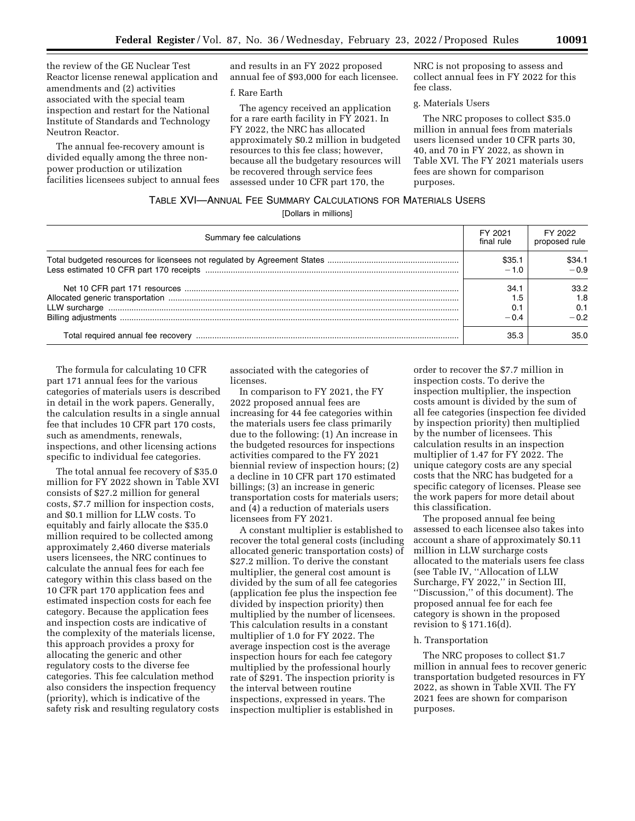the review of the GE Nuclear Test Reactor license renewal application and amendments and (2) activities associated with the special team inspection and restart for the National Institute of Standards and Technology Neutron Reactor.

The annual fee-recovery amount is divided equally among the three nonpower production or utilization facilities licensees subject to annual fees and results in an FY 2022 proposed annual fee of \$93,000 for each licensee.

#### f. Rare Earth

The agency received an application for a rare earth facility in FY 2021. In FY 2022, the NRC has allocated approximately \$0.2 million in budgeted resources to this fee class; however, because all the budgetary resources will be recovered through service fees assessed under 10 CFR part 170, the

NRC is not proposing to assess and collect annual fees in FY 2022 for this fee class.

#### g. Materials Users

The NRC proposes to collect \$35.0 million in annual fees from materials users licensed under 10 CFR parts 30, 40, and 70 in FY 2022, as shown in Table XVI. The FY 2021 materials users fees are shown for comparison purposes.

### TABLE XVI—ANNUAL FEE SUMMARY CALCULATIONS FOR MATERIALS USERS

[Dollars in millions]

| Summary fee calculations | FY 2021<br>final rule | FY 2022<br>proposed rule  |
|--------------------------|-----------------------|---------------------------|
|                          | \$35.1                | \$34.1<br>$-0.9$          |
|                          | 34.1<br>– N 4         | 33.2<br>1.8<br>0.1<br>-02 |
|                          | 35.3                  | 35 O                      |

The formula for calculating 10 CFR part 171 annual fees for the various categories of materials users is described in detail in the work papers. Generally, the calculation results in a single annual fee that includes 10 CFR part 170 costs, such as amendments, renewals, inspections, and other licensing actions specific to individual fee categories.

The total annual fee recovery of \$35.0 million for FY 2022 shown in Table XVI consists of \$27.2 million for general costs, \$7.7 million for inspection costs, and \$0.1 million for LLW costs. To equitably and fairly allocate the \$35.0 million required to be collected among approximately 2,460 diverse materials users licensees, the NRC continues to calculate the annual fees for each fee category within this class based on the 10 CFR part 170 application fees and estimated inspection costs for each fee category. Because the application fees and inspection costs are indicative of the complexity of the materials license, this approach provides a proxy for allocating the generic and other regulatory costs to the diverse fee categories. This fee calculation method also considers the inspection frequency (priority), which is indicative of the safety risk and resulting regulatory costs associated with the categories of licenses.

In comparison to FY 2021, the FY 2022 proposed annual fees are increasing for 44 fee categories within the materials users fee class primarily due to the following: (1) An increase in the budgeted resources for inspections activities compared to the FY 2021 biennial review of inspection hours; (2) a decline in 10 CFR part 170 estimated billings; (3) an increase in generic transportation costs for materials users; and (4) a reduction of materials users licensees from FY 2021.

A constant multiplier is established to recover the total general costs (including allocated generic transportation costs) of \$27.2 million. To derive the constant multiplier, the general cost amount is divided by the sum of all fee categories (application fee plus the inspection fee divided by inspection priority) then multiplied by the number of licensees. This calculation results in a constant multiplier of 1.0 for FY 2022. The average inspection cost is the average inspection hours for each fee category multiplied by the professional hourly rate of \$291. The inspection priority is the interval between routine inspections, expressed in years. The inspection multiplier is established in

order to recover the \$7.7 million in inspection costs. To derive the inspection multiplier, the inspection costs amount is divided by the sum of all fee categories (inspection fee divided by inspection priority) then multiplied by the number of licensees. This calculation results in an inspection multiplier of 1.47 for FY 2022. The unique category costs are any special costs that the NRC has budgeted for a specific category of licenses. Please see the work papers for more detail about this classification.

The proposed annual fee being assessed to each licensee also takes into account a share of approximately \$0.11 million in LLW surcharge costs allocated to the materials users fee class (see Table IV, ''Allocation of LLW Surcharge, FY 2022,'' in Section III, ''Discussion,'' of this document). The proposed annual fee for each fee category is shown in the proposed revision to § 171.16(d).

#### h. Transportation

The NRC proposes to collect \$1.7 million in annual fees to recover generic transportation budgeted resources in FY 2022, as shown in Table XVII. The FY 2021 fees are shown for comparison purposes.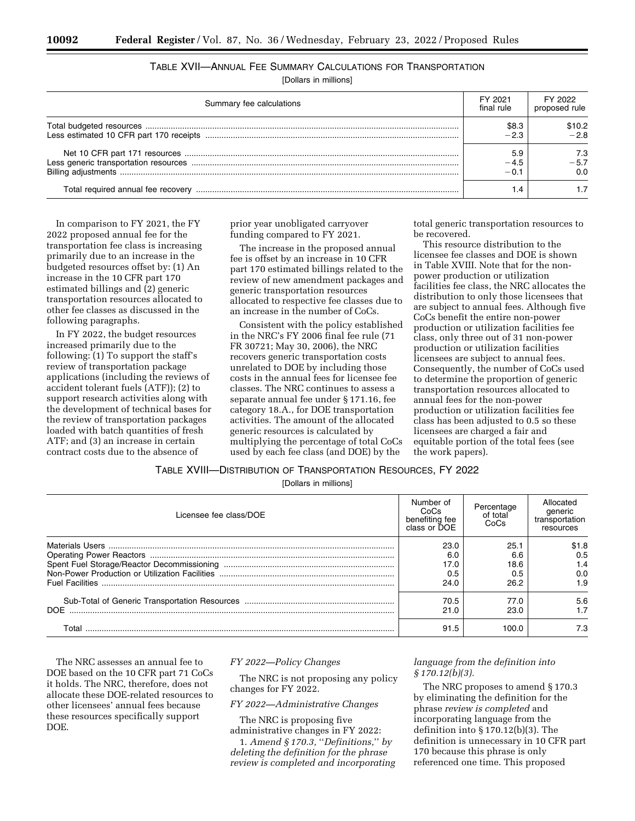# TABLE XVII—ANNUAL FEE SUMMARY CALCULATIONS FOR TRANSPORTATION

[Dollars in millions]

| Summary fee calculations | FY 2021<br>final rule | FY 2022<br>proposed rule |
|--------------------------|-----------------------|--------------------------|
|                          | \$8.3                 | \$10.2                   |
|                          | $-2.3$                | $-28$                    |
|                          | 5.9                   | 7.3                      |
|                          | $-4.5$                | $-5.7$                   |
|                          | 1 ∩ –                 | 0.O                      |
|                          | . .4                  |                          |

In comparison to FY 2021, the FY 2022 proposed annual fee for the transportation fee class is increasing primarily due to an increase in the budgeted resources offset by: (1) An increase in the 10 CFR part 170 estimated billings and (2) generic transportation resources allocated to other fee classes as discussed in the following paragraphs.

In FY 2022, the budget resources increased primarily due to the following: (1) To support the staff's review of transportation package applications (including the reviews of accident tolerant fuels (ATF)); (2) to support research activities along with the development of technical bases for the review of transportation packages loaded with batch quantities of fresh ATF; and (3) an increase in certain contract costs due to the absence of

prior year unobligated carryover funding compared to FY 2021.

The increase in the proposed annual fee is offset by an increase in 10 CFR part 170 estimated billings related to the review of new amendment packages and generic transportation resources allocated to respective fee classes due to an increase in the number of CoCs.

Consistent with the policy established in the NRC's FY 2006 final fee rule (71 FR 30721; May 30, 2006), the NRC recovers generic transportation costs unrelated to DOE by including those costs in the annual fees for licensee fee classes. The NRC continues to assess a separate annual fee under § 171.16, fee category 18.A., for DOE transportation activities. The amount of the allocated generic resources is calculated by multiplying the percentage of total CoCs used by each fee class (and DOE) by the

total generic transportation resources to be recovered.

This resource distribution to the licensee fee classes and DOE is shown in Table XVIII. Note that for the nonpower production or utilization facilities fee class, the NRC allocates the distribution to only those licensees that are subject to annual fees. Although five CoCs benefit the entire non-power production or utilization facilities fee class, only three out of 31 non-power production or utilization facilities licensees are subject to annual fees. Consequently, the number of CoCs used to determine the proportion of generic transportation resources allocated to annual fees for the non-power production or utilization facilities fee class has been adjusted to 0.5 so these licensees are charged a fair and equitable portion of the total fees (see the work papers).

TABLE XVIII—DISTRIBUTION OF TRANSPORTATION RESOURCES, FY 2022

[Dollars in millions]

| Licensee fee class/DOE | Number of<br>CoCs<br>benefiting fee<br>class or DOE | Percentage<br>of total<br>CoCs | Allocated<br>qeneric<br>transportation<br>resources |
|------------------------|-----------------------------------------------------|--------------------------------|-----------------------------------------------------|
|                        | 23.0                                                | 25.1                           | \$1.8                                               |
|                        | 6.0                                                 | 6.6                            | 0.5                                                 |
|                        | 17.0                                                | 18.6                           | 1.4                                                 |
|                        | 0.5                                                 | 0.5                            | 0.0                                                 |
|                        | 24.0                                                | 26.2                           | 1.9                                                 |
|                        | 70.5                                                | 77.0                           | 5.6                                                 |
| DOE.                   | 21.0                                                | 23.0                           |                                                     |
| T∩tal                  | 91.5                                                | 100.0                          | 7.3                                                 |

The NRC assesses an annual fee to DOE based on the 10 CFR part 71 CoCs it holds. The NRC, therefore, does not allocate these DOE-related resources to other licensees' annual fees because these resources specifically support DOE.

## *FY 2022—Policy Changes*

The NRC is not proposing any policy changes for FY 2022.

*FY 2022—Administrative Changes* 

The NRC is proposing five administrative changes in FY 2022:

1. *Amend § 170.3,* ''*Definitions,*'' *by deleting the definition for the phrase review is completed and incorporating* 

## *language from the definition into § 170.12(b)(3).*

The NRC proposes to amend § 170.3 by eliminating the definition for the phrase *review is completed* and incorporating language from the definition into § 170.12(b)(3). The definition is unnecessary in 10 CFR part 170 because this phrase is only referenced one time. This proposed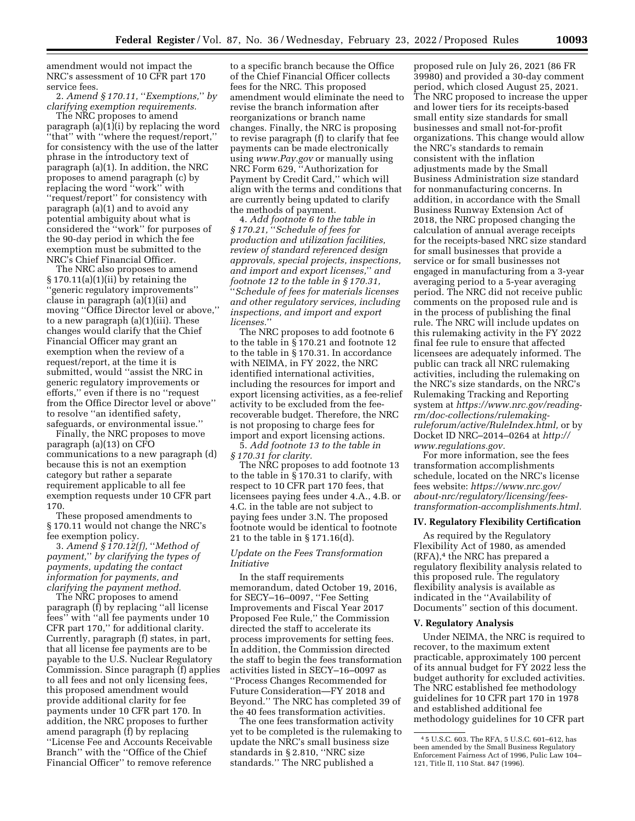amendment would not impact the NRC's assessment of 10 CFR part 170 service fees.

2. *Amend § 170.11,* ''*Exemptions,*'' *by clarifying exemption requirements.* 

The NRC proposes to amend paragraph (a)(1)(i) by replacing the word ''that'' with ''where the request/report,'' for consistency with the use of the latter phrase in the introductory text of paragraph (a)(1). In addition, the NRC proposes to amend paragraph (c) by replacing the word ''work'' with ''request/report'' for consistency with paragraph (a)(1) and to avoid any potential ambiguity about what is considered the ''work'' for purposes of the 90-day period in which the fee exemption must be submitted to the NRC's Chief Financial Officer.

The NRC also proposes to amend § 170.11(a)(1)(ii) by retaining the 'generic regulatory improvements" clause in paragraph (a)(1)(ii) and moving ''Office Director level or above,'' to a new paragraph (a)(1)(iii). These changes would clarify that the Chief Financial Officer may grant an exemption when the review of a request/report, at the time it is submitted, would ''assist the NRC in generic regulatory improvements or efforts,'' even if there is no ''request from the Office Director level or above'' to resolve ''an identified safety, safeguards, or environmental issue.''

Finally, the NRC proposes to move paragraph (a)(13) on CFO communications to a new paragraph (d) because this is not an exemption category but rather a separate requirement applicable to all fee exemption requests under 10 CFR part 170.

These proposed amendments to § 170.11 would not change the NRC's fee exemption policy.

3. *Amend § 170.12(f),* ''*Method of payment,*'' *by clarifying the types of payments, updating the contact information for payments, and clarifying the payment method.* 

The NRC proposes to amend paragraph (f) by replacing ''all license fees'' with ''all fee payments under 10 CFR part 170,'' for additional clarity. Currently, paragraph (f) states, in part, that all license fee payments are to be payable to the U.S. Nuclear Regulatory Commission. Since paragraph (f) applies to all fees and not only licensing fees, this proposed amendment would provide additional clarity for fee payments under 10 CFR part 170. In addition, the NRC proposes to further amend paragraph (f) by replacing ''License Fee and Accounts Receivable Branch'' with the ''Office of the Chief Financial Officer'' to remove reference

to a specific branch because the Office of the Chief Financial Officer collects fees for the NRC. This proposed amendment would eliminate the need to revise the branch information after reorganizations or branch name changes. Finally, the NRC is proposing to revise paragraph (f) to clarify that fee payments can be made electronically using *[www.Pay.gov](http://www.Pay.gov)* or manually using NRC Form 629, ''Authorization for Payment by Credit Card,'' which will align with the terms and conditions that are currently being updated to clarify the methods of payment.

4. *Add footnote 6 to the table in § 170.21,* ''*Schedule of fees for production and utilization facilities, review of standard referenced design approvals, special projects, inspections, and import and export licenses,*'' *and footnote 12 to the table in § 170.31,*  ''*Schedule of fees for materials licenses and other regulatory services, including inspections, and import and export licenses.*''

The NRC proposes to add footnote 6 to the table in § 170.21 and footnote 12 to the table in § 170.31. In accordance with NEIMA, in FY 2022, the NRC identified international activities, including the resources for import and export licensing activities, as a fee-relief activity to be excluded from the feerecoverable budget. Therefore, the NRC is not proposing to charge fees for import and export licensing actions.

5. *Add footnote 13 to the table in § 170.31 for clarity.* 

The NRC proposes to add footnote 13 to the table in § 170.31 to clarify, with respect to 10 CFR part 170 fees, that licensees paying fees under 4.A., 4.B. or 4.C. in the table are not subject to paying fees under 3.N. The proposed footnote would be identical to footnote 21 to the table in § 171.16(d).

#### *Update on the Fees Transformation Initiative*

In the staff requirements memorandum, dated October 19, 2016, for SECY–16–0097, ''Fee Setting Improvements and Fiscal Year 2017 Proposed Fee Rule,'' the Commission directed the staff to accelerate its process improvements for setting fees. In addition, the Commission directed the staff to begin the fees transformation activities listed in SECY–16–0097 as ''Process Changes Recommended for Future Consideration—FY 2018 and Beyond.'' The NRC has completed 39 of the 40 fees transformation activities.

The one fees transformation activity yet to be completed is the rulemaking to update the NRC's small business size standards in § 2.810, ''NRC size standards.'' The NRC published a

proposed rule on July 26, 2021 (86 FR 39980) and provided a 30-day comment period, which closed August 25, 2021. The NRC proposed to increase the upper and lower tiers for its receipts-based small entity size standards for small businesses and small not-for-profit organizations. This change would allow the NRC's standards to remain consistent with the inflation adjustments made by the Small Business Administration size standard for nonmanufacturing concerns. In addition, in accordance with the Small Business Runway Extension Act of 2018, the NRC proposed changing the calculation of annual average receipts for the receipts-based NRC size standard for small businesses that provide a service or for small businesses not engaged in manufacturing from a 3-year averaging period to a 5-year averaging period. The NRC did not receive public comments on the proposed rule and is in the process of publishing the final rule. The NRC will include updates on this rulemaking activity in the FY 2022 final fee rule to ensure that affected licensees are adequately informed. The public can track all NRC rulemaking activities, including the rulemaking on the NRC's size standards, on the NRC's Rulemaking Tracking and Reporting system at *[https://www.nrc.gov/reading](https://www.nrc.gov/reading-rm/doc-collections/rulemaking-ruleforum/active/RuleIndex.html)[rm/doc-collections/rulemaking](https://www.nrc.gov/reading-rm/doc-collections/rulemaking-ruleforum/active/RuleIndex.html)[ruleforum/active/RuleIndex.html](https://www.nrc.gov/reading-rm/doc-collections/rulemaking-ruleforum/active/RuleIndex.html),* or by Docket ID NRC–2014–0264 at *[http://](http://www.regulations.gov) [www.regulations.gov.](http://www.regulations.gov)* 

For more information, see the fees transformation accomplishments schedule, located on the NRC's license fees website: *[https://www.nrc.gov/](https://www.nrc.gov/about-nrc/regulatory/licensing/fees-transformation-accomplishments.html) [about-nrc/regulatory/licensing/fees](https://www.nrc.gov/about-nrc/regulatory/licensing/fees-transformation-accomplishments.html)[transformation-accomplishments.html.](https://www.nrc.gov/about-nrc/regulatory/licensing/fees-transformation-accomplishments.html)* 

#### **IV. Regulatory Flexibility Certification**

As required by the Regulatory Flexibility Act of 1980, as amended (RFA),4 the NRC has prepared a regulatory flexibility analysis related to this proposed rule. The regulatory flexibility analysis is available as indicated in the ''Availability of Documents'' section of this document.

#### **V. Regulatory Analysis**

Under NEIMA, the NRC is required to recover, to the maximum extent practicable, approximately 100 percent of its annual budget for FY 2022 less the budget authority for excluded activities. The NRC established fee methodology guidelines for 10 CFR part 170 in 1978 and established additional fee methodology guidelines for 10 CFR part

<sup>4</sup> 5 U.S.C. 603. The RFA, 5 U.S.C. 601–612, has been amended by the Small Business Regulatory Enforcement Fairness Act of 1996, Pulic Law 104– 121, Title II, 110 Stat. 847 (1996).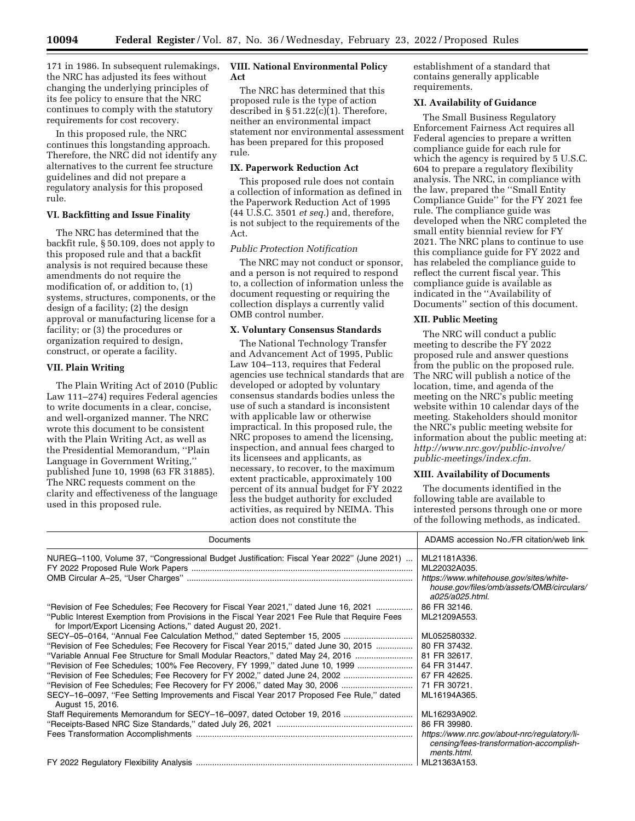**10094 Federal Register** / Vol. 87, No. 36 / Wednesday, February 23, 2022 / Proposed Rules

171 in 1986. In subsequent rulemakings, the NRC has adjusted its fees without changing the underlying principles of its fee policy to ensure that the NRC continues to comply with the statutory requirements for cost recovery.

In this proposed rule, the NRC continues this longstanding approach. Therefore, the NRC did not identify any alternatives to the current fee structure guidelines and did not prepare a regulatory analysis for this proposed rule.

## **VI. Backfitting and Issue Finality**

The NRC has determined that the backfit rule, § 50.109, does not apply to this proposed rule and that a backfit analysis is not required because these amendments do not require the modification of, or addition to, (1) systems, structures, components, or the design of a facility; (2) the design approval or manufacturing license for a facility; or (3) the procedures or organization required to design, construct, or operate a facility.

## **VII. Plain Writing**

The Plain Writing Act of 2010 (Public Law 111–274) requires Federal agencies to write documents in a clear, concise, and well-organized manner. The NRC wrote this document to be consistent with the Plain Writing Act, as well as the Presidential Memorandum, ''Plain Language in Government Writing,'' published June 10, 1998 (63 FR 31885). The NRC requests comment on the clarity and effectiveness of the language used in this proposed rule.

### **VIII. National Environmental Policy Act**

The NRC has determined that this proposed rule is the type of action described in § 51.22(c)(1). Therefore, neither an environmental impact statement nor environmental assessment has been prepared for this proposed rule.

#### **IX. Paperwork Reduction Act**

This proposed rule does not contain a collection of information as defined in the Paperwork Reduction Act of 1995 (44 U.S.C. 3501 *et seq.*) and, therefore, is not subject to the requirements of the Act.

#### *Public Protection Notification*

The NRC may not conduct or sponsor, and a person is not required to respond to, a collection of information unless the document requesting or requiring the collection displays a currently valid OMB control number.

#### **X. Voluntary Consensus Standards**

The National Technology Transfer and Advancement Act of 1995, Public Law 104–113, requires that Federal agencies use technical standards that are developed or adopted by voluntary consensus standards bodies unless the use of such a standard is inconsistent with applicable law or otherwise impractical. In this proposed rule, the NRC proposes to amend the licensing, inspection, and annual fees charged to its licensees and applicants, as necessary, to recover, to the maximum extent practicable, approximately 100 percent of its annual budget for FY 2022 less the budget authority for excluded activities, as required by NEIMA. This action does not constitute the

establishment of a standard that contains generally applicable requirements.

### **XI. Availability of Guidance**

The Small Business Regulatory Enforcement Fairness Act requires all Federal agencies to prepare a written compliance guide for each rule for which the agency is required by 5 U.S.C. 604 to prepare a regulatory flexibility analysis. The NRC, in compliance with the law, prepared the ''Small Entity Compliance Guide'' for the FY 2021 fee rule. The compliance guide was developed when the NRC completed the small entity biennial review for FY 2021. The NRC plans to continue to use this compliance guide for FY 2022 and has relabeled the compliance guide to reflect the current fiscal year. This compliance guide is available as indicated in the ''Availability of Documents'' section of this document.

#### **XII. Public Meeting**

The NRC will conduct a public meeting to describe the FY 2022 proposed rule and answer questions from the public on the proposed rule. The NRC will publish a notice of the location, time, and agenda of the meeting on the NRC's public meeting website within 10 calendar days of the meeting. Stakeholders should monitor the NRC's public meeting website for information about the public meeting at: *[http://www.nrc.gov/public-involve/](http://www.nrc.gov/public-involve/public-meetings/index.cfm)  [public-meetings/index.cfm.](http://www.nrc.gov/public-involve/public-meetings/index.cfm)* 

## **XIII. Availability of Documents**

The documents identified in the following table are available to interested persons through one or more of the following methods, as indicated.

| Documents                                                                                                                                                     | ADAMS accession No./FR citation/web link                                                                                                |
|---------------------------------------------------------------------------------------------------------------------------------------------------------------|-----------------------------------------------------------------------------------------------------------------------------------------|
| NUREG-1100, Volume 37, "Congressional Budget Justification: Fiscal Year 2022" (June 2021)                                                                     | ML21181A336.<br>ML22032A035.<br>https://www.whitehouse.gov/sites/white-<br>house.gov/files/omb/assets/OMB/circulars/<br>a025/a025.html. |
| "Revision of Fee Schedules; Fee Recovery for Fiscal Year 2021," dated June 16, 2021                                                                           | 86 FR 32146.                                                                                                                            |
| "Public Interest Exemption from Provisions in the Fiscal Year 2021 Fee Rule that Require Fees<br>for Import/Export Licensing Actions," dated August 20, 2021. | ML21209A553.                                                                                                                            |
| SECY-05-0164, "Annual Fee Calculation Method," dated September 15, 2005                                                                                       | ML052580332.                                                                                                                            |
| "Revision of Fee Schedules; Fee Recovery for Fiscal Year 2015," dated June 30, 2015                                                                           | 80 FR 37432.                                                                                                                            |
| "Variable Annual Fee Structure for Small Modular Reactors," dated May 24, 2016                                                                                | 81 FR 32617.                                                                                                                            |
| "Revision of Fee Schedules; 100% Fee Recovery, FY 1999," dated June 10, 1999                                                                                  | 64 FR 31447.                                                                                                                            |
|                                                                                                                                                               | 67 FR 42625.                                                                                                                            |
|                                                                                                                                                               | 71 FR 30721.                                                                                                                            |
| SECY-16-0097, "Fee Setting Improvements and Fiscal Year 2017 Proposed Fee Rule," dated<br>August 15, 2016.                                                    | ML16194A365.                                                                                                                            |
| Staff Requirements Memorandum for SECY-16-0097, dated October 19, 2016                                                                                        | ML16293A902.                                                                                                                            |
|                                                                                                                                                               | 86 FR 39980.                                                                                                                            |
|                                                                                                                                                               | https://www.nrc.gov/about-nrc/regulatory/li-<br>censing/fees-transformation-accomplish-<br>ments.html.                                  |
|                                                                                                                                                               | ML21363A153.                                                                                                                            |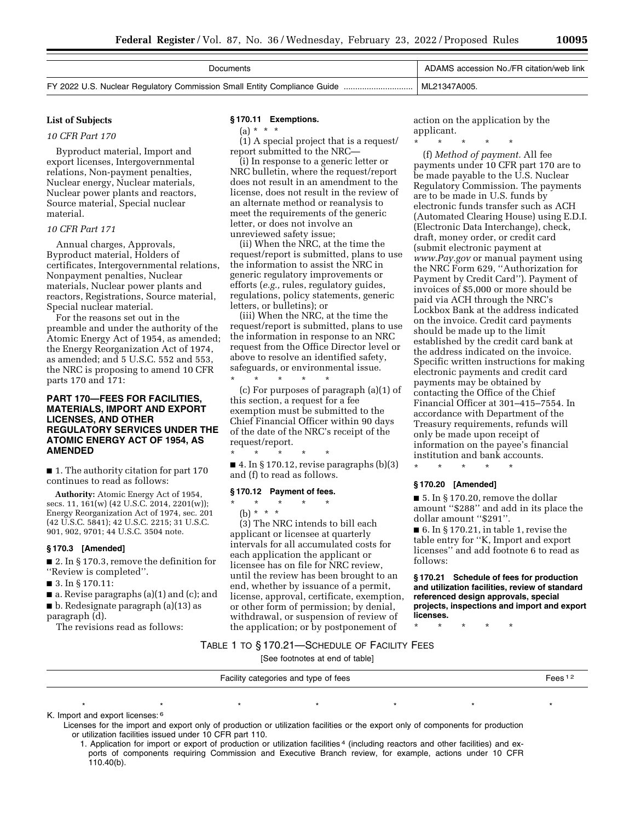| Documents | ADAMS accession No./FR citation/web link |
|-----------|------------------------------------------|
|           | ML21347A005.                             |

## **List of Subjects**

*10 CFR Part 170* 

Byproduct material, Import and export licenses, Intergovernmental relations, Non-payment penalties, Nuclear energy, Nuclear materials, Nuclear power plants and reactors, Source material, Special nuclear material.

#### *10 CFR Part 171*

Annual charges, Approvals, Byproduct material, Holders of certificates, Intergovernmental relations, Nonpayment penalties, Nuclear materials, Nuclear power plants and reactors, Registrations, Source material, Special nuclear material.

For the reasons set out in the preamble and under the authority of the Atomic Energy Act of 1954, as amended; the Energy Reorganization Act of 1974, as amended; and 5 U.S.C. 552 and 553, the NRC is proposing to amend 10 CFR parts 170 and 171:

## **PART 170—FEES FOR FACILITIES, MATERIALS, IMPORT AND EXPORT LICENSES, AND OTHER REGULATORY SERVICES UNDER THE ATOMIC ENERGY ACT OF 1954, AS AMENDED**

■ 1. The authority citation for part 170 continues to read as follows:

**Authority:** Atomic Energy Act of 1954, secs. 11, 161(w) (42 U.S.C. 2014, 2201(w)); Energy Reorganization Act of 1974, sec. 201 (42 U.S.C. 5841); 42 U.S.C. 2215; 31 U.S.C. 901, 902, 9701; 44 U.S.C. 3504 note.

#### **§ 170.3 [Amended]**

■ 2. In § 170.3, remove the definition for ''Review is completed''.

■ 3. In § 170.11:

■ a. Revise paragraphs (a)(1) and (c); and

■ b. Redesignate paragraph (a)(13) as

paragraph (d).

The revisions read as follows:

### **§ 170.11 Exemptions.**

(1) A special project that is a request/ report submitted to the NRC—

(i) In response to a generic letter or NRC bulletin, where the request/report does not result in an amendment to the license, does not result in the review of an alternate method or reanalysis to meet the requirements of the generic letter, or does not involve an unreviewed safety issue;

(ii) When the NRC, at the time the request/report is submitted, plans to use the information to assist the NRC in generic regulatory improvements or efforts (*e.g.,* rules, regulatory guides, regulations, policy statements, generic letters, or bulletins); or

(iii) When the NRC, at the time the request/report is submitted, plans to use the information in response to an NRC request from the Office Director level or above to resolve an identified safety, safeguards, or environmental issue. \* \* \* \* \*

(c) For purposes of paragraph (a)(1) of this section, a request for a fee exemption must be submitted to the Chief Financial Officer within 90 days of the date of the NRC's receipt of the request/report.

\* \* \* \* \*  $\blacksquare$  4. In § 170.12, revise paragraphs (b)(3) and (f) to read as follows.

#### **§ 170.12 Payment of fees.**

\* \* \* \* \* (b) \* \* \* (3) The NRC intends to bill each applicant or licensee at quarterly intervals for all accumulated costs for each application the applicant or licensee has on file for NRC review, until the review has been brought to an end, whether by issuance of a permit, license, approval, certificate, exemption, or other form of permission; by denial,

action on the application by the applicant.

\* \* \* \* \*

(f) *Method of payment.* All fee payments under 10 CFR part 170 are to be made payable to the U.S. Nuclear Regulatory Commission. The payments are to be made in U.S. funds by electronic funds transfer such as ACH (Automated Clearing House) using E.D.I. (Electronic Data Interchange), check, draft, money order, or credit card (submit electronic payment at *[www.Pay.gov](http://www.Pay.gov)* or manual payment using the NRC Form 629, ''Authorization for Payment by Credit Card''). Payment of invoices of \$5,000 or more should be paid via ACH through the NRC's Lockbox Bank at the address indicated on the invoice. Credit card payments should be made up to the limit established by the credit card bank at the address indicated on the invoice. Specific written instructions for making electronic payments and credit card payments may be obtained by contacting the Office of the Chief Financial Officer at 301–415–7554. In accordance with Department of the Treasury requirements, refunds will only be made upon receipt of information on the payee's financial institution and bank accounts.

#### **§ 170.20 [Amended]**

\* \* \* \* \*

■ 5. In § 170.20, remove the dollar amount ''\$288'' and add in its place the dollar amount ''\$291''.

 $\blacksquare$  6. In § 170.21, in table 1, revise the table entry for ''K, Import and export licenses'' and add footnote 6 to read as follows:

**§ 170.21 Schedule of fees for production and utilization facilities, review of standard referenced design approvals, special projects, inspections and import and export licenses.** 

\* \* \* \* \*

# the application; or by postponement of TABLE 1 TO § 170.21—SCHEDULE OF FACILITY FEES

withdrawal, or suspension of review of

[See footnotes at end of table]

| Facility categories and type of fees | . |
|--------------------------------------|---|
|                                      |   |

\*\*\*\*\*\*\*

K. Import and export licenses: 6

Licenses for the import and export only of production or utilization facilities or the export only of components for production or utilization facilities issued under 10 CFR part 110.

1. Application for import or export of production or utilization facilities 4 (including reactors and other facilities) and exports of components requiring Commission and Executive Branch review, for example, actions under 10 CFR 110.40(b).

 $(a) * * * *$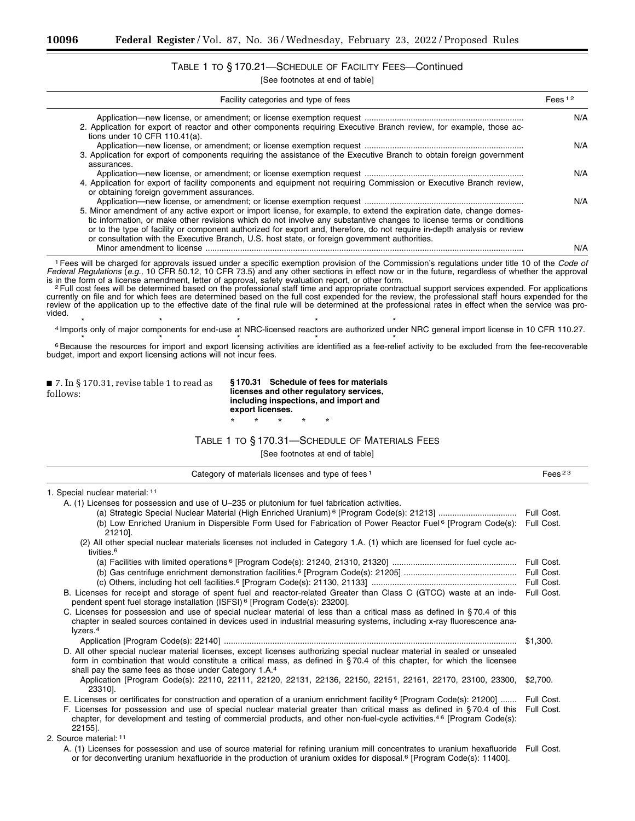# TABLE 1 TO § 170.21—SCHEDULE OF FACILITY FEES—Continued

[See footnotes at end of table]

| FERS 12 | Facility categories and type of fees                                                                                     |
|---------|--------------------------------------------------------------------------------------------------------------------------|
| N/A     |                                                                                                                          |
|         | 2. Application for export of reactor and other components requiring Executive Branch review, for example, those ac-      |
|         | tions under 10 CFR $110.41(a)$ .                                                                                         |
| N/A     |                                                                                                                          |
|         | 3. Application for export of components requiring the assistance of the Executive Branch to obtain foreign government    |
|         | assurances.                                                                                                              |
| N/A     |                                                                                                                          |
|         | 4. Application for export of facility components and equipment not requiring Commission or Executive Branch review,      |
|         | or obtaining foreign government assurances.                                                                              |
| N/A     |                                                                                                                          |
|         | 5. Minor amendment of any active export or import license, for example, to extend the expiration date, change domes-     |
|         | tic information, or make other revisions which do not involve any substantive changes to license terms or conditions     |
|         | or to the type of facility or component authorized for export and, therefore, do not require in-depth analysis or review |
|         | or consultation with the Executive Branch, U.S. host state, or foreign government authorities.                           |
| N/A     | Minor amendment to license                                                                                               |

1Fees will be charged for approvals issued under a specific exemption provision of the Commission's regulations under title 10 of the *Code of Federal Regulations* (*e.g.,* 10 CFR 50.12, 10 CFR 73.5) and any other sections in effect now or in the future, regardless of whether the approval

is in the form of a license amendment, letter of approval, safety evaluation report, or other form.<br><sup>2</sup> Full cost fees will be determined based on the professional staff time and appropriate contractual support services ex currently on file and for which fees are determined based on the full cost expended for the review, the professional staff hours expended for the review of the application up to the effective date of the final rule will be determined at the professional rates in effect when the service was provided.

<sup>4</sup> Imports only of major components for end-use at NRC-licensed reactors are authorized under NRC general import license in 10 CFR 110.27.

<sup>6</sup> Because the resources for import and export licensing activities are identified as a fee-relief activity to be excluded from the fee-recoverable budget, import and export licensing actions will not incur fees.

■ 7. In § 170.31, revise table 1 to read as follows:

**§ 170.31 Schedule of fees for materials licenses and other regulatory services, including inspections, and import and export licenses.** 

\* \* \* \* \*

## TABLE 1 TO § 170.31—SCHEDULE OF MATERIALS FEES

| Category of materials licenses and type of fees <sup>1</sup>                                                                                                                                                                                                                                                                  | Fees <sup>23</sup> |
|-------------------------------------------------------------------------------------------------------------------------------------------------------------------------------------------------------------------------------------------------------------------------------------------------------------------------------|--------------------|
| 1. Special nuclear material: 11                                                                                                                                                                                                                                                                                               |                    |
| A. (1) Licenses for possession and use of U-235 or plutonium for fuel fabrication activities.                                                                                                                                                                                                                                 |                    |
|                                                                                                                                                                                                                                                                                                                               | Full Cost.         |
| (b) Low Enriched Uranium in Dispersible Form Used for Fabrication of Power Reactor Fuel <sup>6</sup> [Program Code(s):<br>21210].                                                                                                                                                                                             | Full Cost.         |
| (2) All other special nuclear materials licenses not included in Category 1.A. (1) which are licensed for fuel cycle ac-<br>tivities. <sup>6</sup>                                                                                                                                                                            |                    |
|                                                                                                                                                                                                                                                                                                                               | Full Cost.         |
|                                                                                                                                                                                                                                                                                                                               | Full Cost.         |
|                                                                                                                                                                                                                                                                                                                               | Full Cost.         |
| B. Licenses for receipt and storage of spent fuel and reactor-related Greater than Class C (GTCC) waste at an inde-<br>pendent spent fuel storage installation (ISFSI) <sup>6</sup> [Program Code(s): 23200].                                                                                                                 | Full Cost.         |
| C. Licenses for possession and use of special nuclear material of less than a critical mass as defined in §70.4 of this<br>chapter in sealed sources contained in devices used in industrial measuring systems, including x-ray fluorescence ana-<br>lyzers. <sup>4</sup>                                                     |                    |
|                                                                                                                                                                                                                                                                                                                               | \$1.300.           |
| D. All other special nuclear material licenses, except licenses authorizing special nuclear material in sealed or unsealed<br>form in combination that would constitute a critical mass, as defined in $\S 70.4$ of this chapter, for which the licensee<br>shall pay the same fees as those under Category 1.A. <sup>4</sup> |                    |
| Application [Program Code(s): 22110, 22111, 22120, 22131, 22136, 22150, 22151, 22161, 22170, 23100, 23300,<br>23310].                                                                                                                                                                                                         | \$2.700.           |
| E. Licenses or certificates for construction and operation of a uranium enrichment facility <sup>6</sup> [Program Code(s): 21200]                                                                                                                                                                                             | Full Cost.         |
| F. Licenses for possession and use of special nuclear material greater than critical mass as defined in §70.4 of this<br>chapter, for development and testing of commercial products, and other non-fuel-cycle activities. <sup>46</sup> [Program Code(s):<br>22155].                                                         | Full Cost.         |
| 2. Source material: 11                                                                                                                                                                                                                                                                                                        |                    |
| A. (1) Licenses for possession and use of source material for refining uranium mill concentrates to uranium hexafluoride<br>or for deconverting uranium hexafluoride in the production of uranium oxides for disposal. <sup>6</sup> [Program Code(s): 11400].                                                                 | Full Cost.         |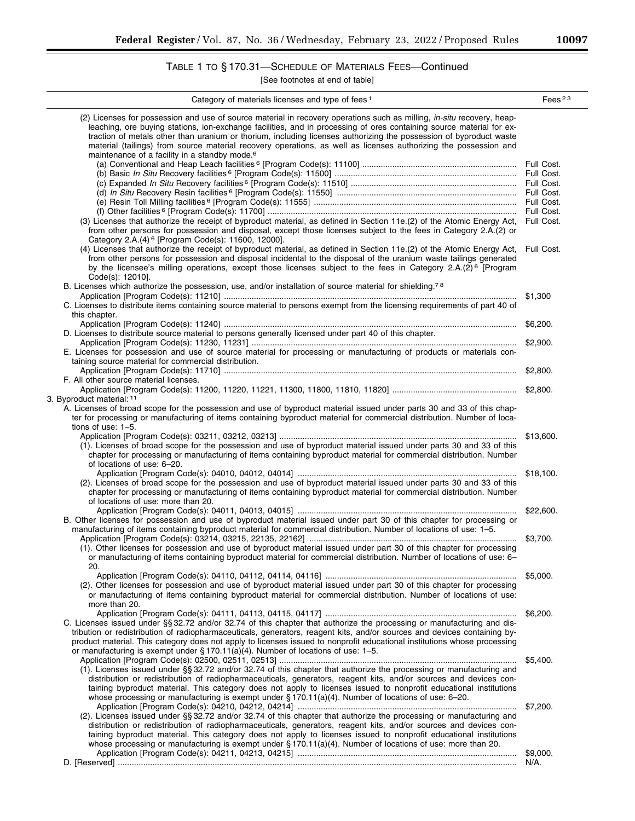# TABLE 1 TO § 170.31—SCHEDULE OF MATERIALS FEES—Continued

| Category of materials licenses and type of fees <sup>1</sup>                                                                                                                                                                                                                                                                                                                                                                                                                                    | Fees $23$        |
|-------------------------------------------------------------------------------------------------------------------------------------------------------------------------------------------------------------------------------------------------------------------------------------------------------------------------------------------------------------------------------------------------------------------------------------------------------------------------------------------------|------------------|
| (2) Licenses for possession and use of source material in recovery operations such as milling, <i>in-situ</i> recovery, heap-<br>leaching, ore buying stations, ion-exchange facilities, and in processing of ores containing source material for ex-<br>traction of metals other than uranium or thorium, including licenses authorizing the possession of byproduct waste<br>material (tailings) from source material recovery operations, as well as licenses authorizing the possession and |                  |
| maintenance of a facility in a standby mode. <sup>6</sup>                                                                                                                                                                                                                                                                                                                                                                                                                                       |                  |
|                                                                                                                                                                                                                                                                                                                                                                                                                                                                                                 |                  |
|                                                                                                                                                                                                                                                                                                                                                                                                                                                                                                 |                  |
|                                                                                                                                                                                                                                                                                                                                                                                                                                                                                                 |                  |
|                                                                                                                                                                                                                                                                                                                                                                                                                                                                                                 |                  |
|                                                                                                                                                                                                                                                                                                                                                                                                                                                                                                 | Full Cost.       |
| (3) Licenses that authorize the receipt of byproduct material, as defined in Section 11e.(2) of the Atomic Energy Act,                                                                                                                                                                                                                                                                                                                                                                          | Full Cost.       |
| from other persons for possession and disposal, except those licenses subject to the fees in Category 2.A.(2) or                                                                                                                                                                                                                                                                                                                                                                                |                  |
| Category 2.A.(4) <sup>6</sup> [Program Code(s): 11600, 12000].                                                                                                                                                                                                                                                                                                                                                                                                                                  |                  |
| (4) Licenses that authorize the receipt of byproduct material, as defined in Section 11e.(2) of the Atomic Energy Act,<br>from other persons for possession and disposal incidental to the disposal of the uranium waste tailings generated<br>by the licensee's milling operations, except those licenses subject to the fees in Category 2.A.(2) <sup>6</sup> [Program                                                                                                                        | Full Cost.       |
| Code(s): 12010].                                                                                                                                                                                                                                                                                                                                                                                                                                                                                |                  |
| B. Licenses which authorize the possession, use, and/or installation of source material for shielding. <sup>78</sup>                                                                                                                                                                                                                                                                                                                                                                            |                  |
|                                                                                                                                                                                                                                                                                                                                                                                                                                                                                                 | \$1,300          |
| C. Licenses to distribute items containing source material to persons exempt from the licensing requirements of part 40 of<br>this chapter.                                                                                                                                                                                                                                                                                                                                                     |                  |
| D. Licenses to distribute source material to persons generally licensed under part 40 of this chapter.                                                                                                                                                                                                                                                                                                                                                                                          | \$6,200.         |
|                                                                                                                                                                                                                                                                                                                                                                                                                                                                                                 | \$2,900.         |
| E. Licenses for possession and use of source material for processing or manufacturing of products or materials con-                                                                                                                                                                                                                                                                                                                                                                             |                  |
| taining source material for commercial distribution.                                                                                                                                                                                                                                                                                                                                                                                                                                            |                  |
|                                                                                                                                                                                                                                                                                                                                                                                                                                                                                                 | \$2,800.         |
| F. All other source material licenses.                                                                                                                                                                                                                                                                                                                                                                                                                                                          |                  |
| 3. Byproduct material: 11                                                                                                                                                                                                                                                                                                                                                                                                                                                                       |                  |
| A. Licenses of broad scope for the possession and use of byproduct material issued under parts 30 and 33 of this chap-                                                                                                                                                                                                                                                                                                                                                                          |                  |
| ter for processing or manufacturing of items containing byproduct material for commercial distribution. Number of loca-<br>tions of use: $1-5$ .                                                                                                                                                                                                                                                                                                                                                |                  |
|                                                                                                                                                                                                                                                                                                                                                                                                                                                                                                 | \$13,600.        |
| (1). Licenses of broad scope for the possession and use of byproduct material issued under parts 30 and 33 of this<br>chapter for processing or manufacturing of items containing byproduct material for commercial distribution. Number                                                                                                                                                                                                                                                        |                  |
| of locations of use: 6-20.                                                                                                                                                                                                                                                                                                                                                                                                                                                                      |                  |
|                                                                                                                                                                                                                                                                                                                                                                                                                                                                                                 | \$18,100.        |
| (2). Licenses of broad scope for the possession and use of byproduct material issued under parts 30 and 33 of this                                                                                                                                                                                                                                                                                                                                                                              |                  |
| chapter for processing or manufacturing of items containing byproduct material for commercial distribution. Number                                                                                                                                                                                                                                                                                                                                                                              |                  |
| of locations of use: more than 20.                                                                                                                                                                                                                                                                                                                                                                                                                                                              | \$22,600.        |
| B. Other licenses for possession and use of byproduct material issued under part 30 of this chapter for processing or                                                                                                                                                                                                                                                                                                                                                                           |                  |
| manufacturing of items containing byproduct material for commercial distribution. Number of locations of use: 1-5.                                                                                                                                                                                                                                                                                                                                                                              |                  |
|                                                                                                                                                                                                                                                                                                                                                                                                                                                                                                 | \$3,700.         |
| (1). Other licenses for possession and use of byproduct material issued under part 30 of this chapter for processing                                                                                                                                                                                                                                                                                                                                                                            |                  |
| or manufacturing of items containing byproduct material for commercial distribution. Number of locations of use: 6-                                                                                                                                                                                                                                                                                                                                                                             |                  |
| 20.                                                                                                                                                                                                                                                                                                                                                                                                                                                                                             | \$5,000.         |
| (2). Other licenses for possession and use of byproduct material issued under part 30 of this chapter for processing                                                                                                                                                                                                                                                                                                                                                                            |                  |
| or manufacturing of items containing byproduct material for commercial distribution. Number of locations of use:                                                                                                                                                                                                                                                                                                                                                                                |                  |
| more than 20.                                                                                                                                                                                                                                                                                                                                                                                                                                                                                   |                  |
|                                                                                                                                                                                                                                                                                                                                                                                                                                                                                                 | \$6,200.         |
| C. Licenses issued under §§ 32.72 and/or 32.74 of this chapter that authorize the processing or manufacturing and dis-                                                                                                                                                                                                                                                                                                                                                                          |                  |
| tribution or redistribution of radiopharmaceuticals, generators, reagent kits, and/or sources and devices containing by-<br>product material. This category does not apply to licenses issued to nonprofit educational institutions whose processing                                                                                                                                                                                                                                            |                  |
| or manufacturing is exempt under § 170.11(a)(4). Number of locations of use: 1-5.                                                                                                                                                                                                                                                                                                                                                                                                               |                  |
|                                                                                                                                                                                                                                                                                                                                                                                                                                                                                                 | \$5,400.         |
| (1). Licenses issued under §§ 32.72 and/or 32.74 of this chapter that authorize the processing or manufacturing and                                                                                                                                                                                                                                                                                                                                                                             |                  |
| distribution or redistribution of radiopharmaceuticals, generators, reagent kits, and/or sources and devices con-                                                                                                                                                                                                                                                                                                                                                                               |                  |
| taining byproduct material. This category does not apply to licenses issued to nonprofit educational institutions<br>whose processing or manufacturing is exempt under $\S 170.11(a)(4)$ . Number of locations of use: 6-20.                                                                                                                                                                                                                                                                    |                  |
|                                                                                                                                                                                                                                                                                                                                                                                                                                                                                                 | \$7,200.         |
| (2). Licenses issued under §§ 32.72 and/or 32.74 of this chapter that authorize the processing or manufacturing and                                                                                                                                                                                                                                                                                                                                                                             |                  |
| distribution or redistribution of radiopharmaceuticals, generators, reagent kits, and/or sources and devices con-                                                                                                                                                                                                                                                                                                                                                                               |                  |
| taining byproduct material. This category does not apply to licenses issued to nonprofit educational institutions                                                                                                                                                                                                                                                                                                                                                                               |                  |
| whose processing or manufacturing is exempt under $\S 170.11(a)(4)$ . Number of locations of use: more than 20.                                                                                                                                                                                                                                                                                                                                                                                 |                  |
|                                                                                                                                                                                                                                                                                                                                                                                                                                                                                                 | \$9,000.<br>N/A. |
|                                                                                                                                                                                                                                                                                                                                                                                                                                                                                                 |                  |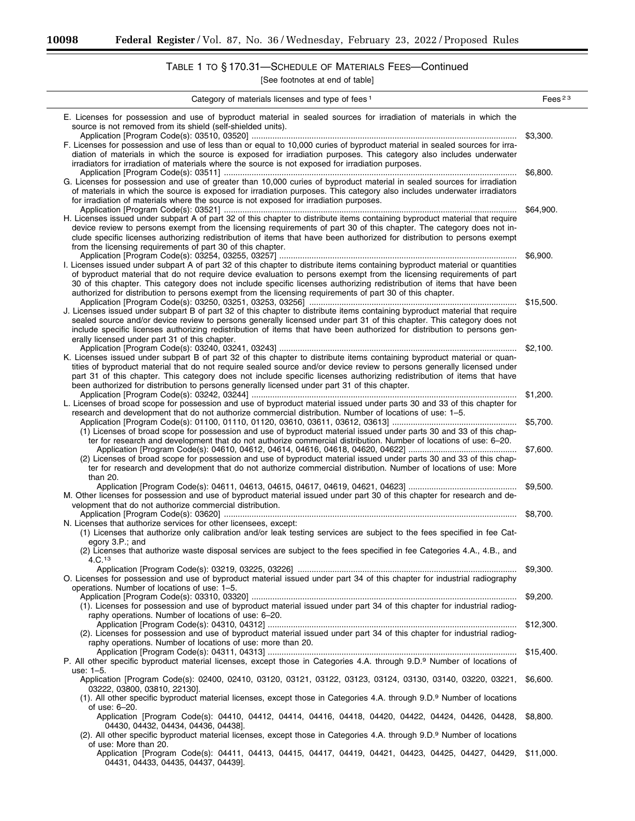-

 $\overline{\phantom{0}}$ 

# TABLE 1 TO § 170.31—SCHEDULE OF MATERIALS FEES—Continued

| Category of materials licenses and type of fees <sup>1</sup>                                                                                                                                                                                                                                                                                                                                                                                                                                                                                      | Fees <sup>23</sup> |
|---------------------------------------------------------------------------------------------------------------------------------------------------------------------------------------------------------------------------------------------------------------------------------------------------------------------------------------------------------------------------------------------------------------------------------------------------------------------------------------------------------------------------------------------------|--------------------|
| E. Licenses for possession and use of byproduct material in sealed sources for irradiation of materials in which the<br>source is not removed from its shield (self-shielded units).<br>F. Licenses for possession and use of less than or equal to 10,000 curies of byproduct material in sealed sources for irra-<br>diation of materials in which the source is exposed for irradiation purposes. This category also includes underwater<br>irradiators for irradiation of materials where the source is not exposed for irradiation purposes. | \$3,300.           |
| G. Licenses for possession and use of greater than 10,000 curies of byproduct material in sealed sources for irradiation<br>of materials in which the source is exposed for irradiation purposes. This category also includes underwater irradiators<br>for irradiation of materials where the source is not exposed for irradiation purposes.                                                                                                                                                                                                    | \$6,800.           |
| H. Licenses issued under subpart A of part 32 of this chapter to distribute items containing byproduct material that require<br>device review to persons exempt from the licensing requirements of part 30 of this chapter. The category does not in-<br>clude specific licenses authorizing redistribution of items that have been authorized for distribution to persons exempt<br>from the licensing requirements of part 30 of this chapter.                                                                                                  | \$64,900.          |
| I. Licenses issued under subpart A of part 32 of this chapter to distribute items containing byproduct material or quantities<br>of byproduct material that do not require device evaluation to persons exempt from the licensing requirements of part<br>30 of this chapter. This category does not include specific licenses authorizing redistribution of items that have been<br>authorized for distribution to persons exempt from the licensing requirements of part 30 of this chapter.                                                    | \$6,900.           |
| J. Licenses issued under subpart B of part 32 of this chapter to distribute items containing byproduct material that require<br>sealed source and/or device review to persons generally licensed under part 31 of this chapter. This category does not<br>include specific licenses authorizing redistribution of items that have been authorized for distribution to persons gen-<br>erally licensed under part 31 of this chapter.                                                                                                              |                    |
| K. Licenses issued under subpart B of part 32 of this chapter to distribute items containing byproduct material or quan-<br>tities of byproduct material that do not require sealed source and/or device review to persons generally licensed under<br>part 31 of this chapter. This category does not include specific licenses authorizing redistribution of items that have<br>been authorized for distribution to persons generally licensed under part 31 of this chapter.                                                                   | \$2,100.           |
| L. Licenses of broad scope for possession and use of byproduct material issued under parts 30 and 33 of this chapter for<br>research and development that do not authorize commercial distribution. Number of locations of use: 1-5.                                                                                                                                                                                                                                                                                                              | \$1,200.           |
| (1) Licenses of broad scope for possession and use of byproduct material issued under parts 30 and 33 of this chap-<br>ter for research and development that do not authorize commercial distribution. Number of locations of use: 6-20.                                                                                                                                                                                                                                                                                                          | \$5,700.           |
| (2) Licenses of broad scope for possession and use of byproduct material issued under parts 30 and 33 of this chap-<br>ter for research and development that do not authorize commercial distribution. Number of locations of use: More<br>than 20.                                                                                                                                                                                                                                                                                               | \$7,600.           |
| M. Other licenses for possession and use of byproduct material issued under part 30 of this chapter for research and de-<br>velopment that do not authorize commercial distribution.                                                                                                                                                                                                                                                                                                                                                              | \$9,500.           |
| N. Licenses that authorize services for other licensees, except:<br>(1) Licenses that authorize only calibration and/or leak testing services are subject to the fees specified in fee Cat-<br>egory 3.P.; and<br>(2) Licenses that authorize waste disposal services are subject to the fees specified in fee Categories 4.A., 4.B., and<br>4.C. <sup>13</sup>                                                                                                                                                                                   | \$8,700.           |
| O. Licenses for possession and use of byproduct material issued under part 34 of this chapter for industrial radiography<br>operations. Number of locations of use: 1-5.                                                                                                                                                                                                                                                                                                                                                                          | \$9,300.           |
| (1). Licenses for possession and use of byproduct material issued under part 34 of this chapter for industrial radiog-<br>raphy operations. Number of locations of use: 6-20.                                                                                                                                                                                                                                                                                                                                                                     | \$9,200.           |
| (2). Licenses for possession and use of byproduct material issued under part 34 of this chapter for industrial radiog-<br>raphy operations. Number of locations of use: more than 20.                                                                                                                                                                                                                                                                                                                                                             | \$12,300.          |
| P. All other specific byproduct material licenses, except those in Categories 4.A. through 9.D.9 Number of locations of<br>use: 1-5.                                                                                                                                                                                                                                                                                                                                                                                                              | \$15,400.          |
| Application [Program Code(s): 02400, 02410, 03120, 03121, 03122, 03123, 03124, 03130, 03140, 03220, 03221,<br>03222, 03800, 03810, 22130].<br>(1). All other specific byproduct material licenses, except those in Categories 4.A. through 9.D. <sup>9</sup> Number of locations<br>of use: 6-20.                                                                                                                                                                                                                                                 | \$6,600.           |
| Application [Program Code(s): 04410, 04412, 04414, 04416, 04418, 04420, 04422, 04424, 04426, 04428,<br>04430, 04432, 04434, 04436, 04438].<br>(2). All other specific byproduct material licenses, except those in Categories 4.A. through 9.D. <sup>9</sup> Number of locations<br>of use: More than 20.                                                                                                                                                                                                                                         | \$8,800.           |
| Application [Program Code(s): 04411, 04413, 04415, 04417, 04419, 04421, 04423, 04425, 04427, 04429, \$11,000.<br>04431, 04433, 04435, 04437, 04439].                                                                                                                                                                                                                                                                                                                                                                                              |                    |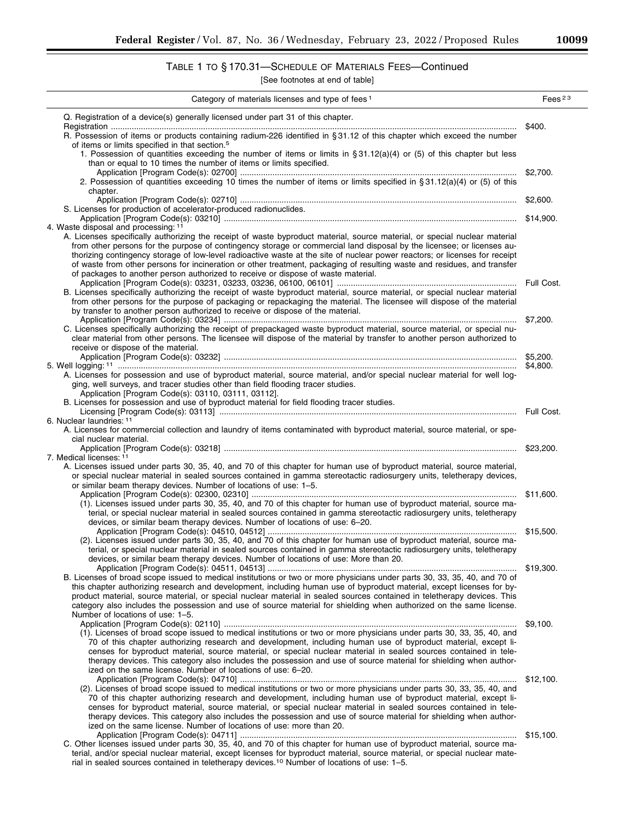# TABLE 1 TO § 170.31—SCHEDULE OF MATERIALS FEES—Continued

| Category of materials licenses and type of fees <sup>1</sup>                                                                                                                                                                                                                                                                                                                                                                                                                                                    | Fees <sup>23</sup> |
|-----------------------------------------------------------------------------------------------------------------------------------------------------------------------------------------------------------------------------------------------------------------------------------------------------------------------------------------------------------------------------------------------------------------------------------------------------------------------------------------------------------------|--------------------|
| Q. Registration of a device(s) generally licensed under part 31 of this chapter.                                                                                                                                                                                                                                                                                                                                                                                                                                |                    |
| R. Possession of items or products containing radium-226 identified in §31.12 of this chapter which exceed the number                                                                                                                                                                                                                                                                                                                                                                                           | \$400.             |
| of items or limits specified in that section. <sup>5</sup><br>1. Possession of quantities exceeding the number of items or limits in § 31.12(a)(4) or (5) of this chapter but less                                                                                                                                                                                                                                                                                                                              |                    |
| than or equal to 10 times the number of items or limits specified.                                                                                                                                                                                                                                                                                                                                                                                                                                              |                    |
| 2. Possession of quantities exceeding 10 times the number of items or limits specified in §31.12(a)(4) or (5) of this                                                                                                                                                                                                                                                                                                                                                                                           |                    |
| chapter.                                                                                                                                                                                                                                                                                                                                                                                                                                                                                                        | \$2,600.           |
| S. Licenses for production of accelerator-produced radionuclides.                                                                                                                                                                                                                                                                                                                                                                                                                                               |                    |
| 4. Waste disposal and processing: 11                                                                                                                                                                                                                                                                                                                                                                                                                                                                            |                    |
| A. Licenses specifically authorizing the receipt of waste byproduct material, source material, or special nuclear material<br>from other persons for the purpose of contingency storage or commercial land disposal by the licensee; or licenses au-<br>thorizing contingency storage of low-level radioactive waste at the site of nuclear power reactors; or licenses for receipt<br>of waste from other persons for incineration or other treatment, packaging of resulting waste and residues, and transfer |                    |
| of packages to another person authorized to receive or dispose of waste material.                                                                                                                                                                                                                                                                                                                                                                                                                               |                    |
| B. Licenses specifically authorizing the receipt of waste byproduct material, source material, or special nuclear material<br>from other persons for the purpose of packaging or repackaging the material. The licensee will dispose of the material<br>by transfer to another person authorized to receive or dispose of the material.                                                                                                                                                                         |                    |
|                                                                                                                                                                                                                                                                                                                                                                                                                                                                                                                 |                    |
| C. Licenses specifically authorizing the receipt of prepackaged waste byproduct material, source material, or special nu-<br>clear material from other persons. The licensee will dispose of the material by transfer to another person authorized to<br>receive or dispose of the material.                                                                                                                                                                                                                    |                    |
|                                                                                                                                                                                                                                                                                                                                                                                                                                                                                                                 |                    |
| A. Licenses for possession and use of byproduct material, source material, and/or special nuclear material for well log-<br>ging, well surveys, and tracer studies other than field flooding tracer studies.<br>Application [Program Code(s): 03110, 03111, 03112].                                                                                                                                                                                                                                             |                    |
| B. Licenses for possession and use of byproduct material for field flooding tracer studies.                                                                                                                                                                                                                                                                                                                                                                                                                     |                    |
| 6. Nuclear laundries: 11                                                                                                                                                                                                                                                                                                                                                                                                                                                                                        |                    |
| A. Licenses for commercial collection and laundry of items contaminated with byproduct material, source material, or spe-<br>cial nuclear material.                                                                                                                                                                                                                                                                                                                                                             |                    |
| 7. Medical licenses: 11                                                                                                                                                                                                                                                                                                                                                                                                                                                                                         |                    |
| A. Licenses issued under parts 30, 35, 40, and 70 of this chapter for human use of byproduct material, source material,                                                                                                                                                                                                                                                                                                                                                                                         |                    |
| or special nuclear material in sealed sources contained in gamma stereotactic radiosurgery units, teletherapy devices,<br>or similar beam therapy devices. Number of locations of use: 1-5.                                                                                                                                                                                                                                                                                                                     |                    |
| (1). Licenses issued under parts 30, 35, 40, and 70 of this chapter for human use of byproduct material, source ma-<br>terial, or special nuclear material in sealed sources contained in gamma stereotactic radiosurgery units, teletherapy                                                                                                                                                                                                                                                                    |                    |
| devices, or similar beam therapy devices. Number of locations of use: 6-20.                                                                                                                                                                                                                                                                                                                                                                                                                                     |                    |
| (2). Licenses issued under parts 30, 35, 40, and 70 of this chapter for human use of byproduct material, source ma-<br>terial, or special nuclear material in sealed sources contained in gamma stereotactic radiosurgery units, teletherapy<br>devices, or similar beam therapy devices. Number of locations of use: More than 20.                                                                                                                                                                             |                    |
|                                                                                                                                                                                                                                                                                                                                                                                                                                                                                                                 | \$19,300.          |
| B. Licenses of broad scope issued to medical institutions or two or more physicians under parts 30, 33, 35, 40, and 70 of<br>this chapter authorizing research and development, including human use of byproduct material, except licenses for by-<br>product material, source material, or special nuclear material in sealed sources contained in teletherapy devices. This<br>category also includes the possession and use of source material for shielding when authorized on the same license.            |                    |
| Number of locations of use: 1-5.                                                                                                                                                                                                                                                                                                                                                                                                                                                                                | \$9,100.           |
| (1). Licenses of broad scope issued to medical institutions or two or more physicians under parts 30, 33, 35, 40, and<br>70 of this chapter authorizing research and development, including human use of byproduct material, except li-<br>censes for byproduct material, source material, or special nuclear material in sealed sources contained in tele-<br>therapy devices. This category also includes the possession and use of source material for shielding when author-                                |                    |
| ized on the same license. Number of locations of use: 6-20.                                                                                                                                                                                                                                                                                                                                                                                                                                                     | \$12,100.          |
| (2). Licenses of broad scope issued to medical institutions or two or more physicians under parts 30, 33, 35, 40, and<br>70 of this chapter authorizing research and development, including human use of byproduct material, except li-<br>censes for byproduct material, source material, or special nuclear material in sealed sources contained in tele-<br>therapy devices. This category also includes the possession and use of source material for shielding when author-                                |                    |
| ized on the same license. Number of locations of use: more than 20.                                                                                                                                                                                                                                                                                                                                                                                                                                             |                    |
| C. Other licenses issued under parts 30, 35, 40, and 70 of this chapter for human use of byproduct material, source ma-<br>terial, and/or special nuclear material, except licenses for byproduct material, source material, or special nuclear mate-<br>rial in sealed sources contained in teletherapy devices. <sup>10</sup> Number of locations of use: 1-5.                                                                                                                                                |                    |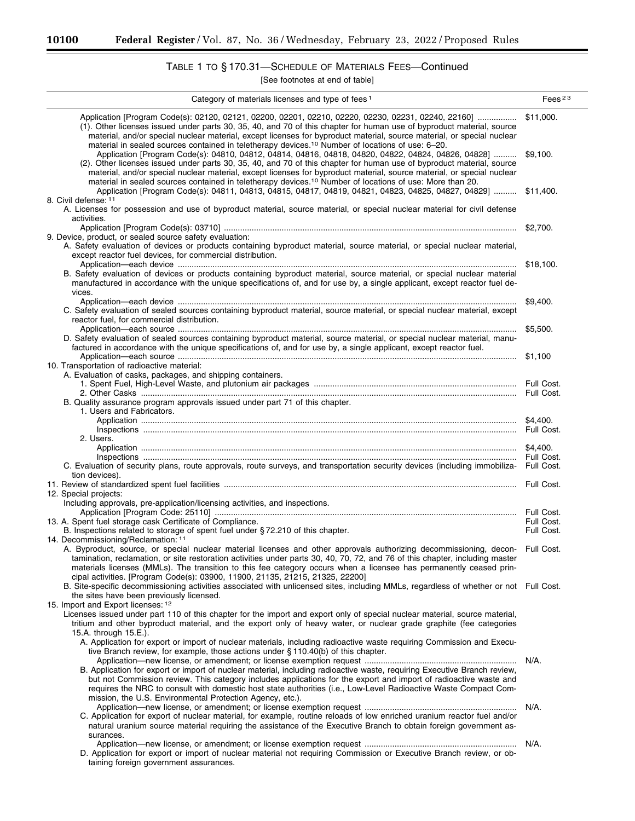-

# TABLE 1 TO § 170.31—SCHEDULE OF MATERIALS FEES—Continued

| Category of materials licenses and type of fees <sup>1</sup>                                                                                                                                                                                                                                                                                                                                                                                                                                                                                                                                               | Fees $23$  |
|------------------------------------------------------------------------------------------------------------------------------------------------------------------------------------------------------------------------------------------------------------------------------------------------------------------------------------------------------------------------------------------------------------------------------------------------------------------------------------------------------------------------------------------------------------------------------------------------------------|------------|
| Application [Program Code(s): 02120, 02121, 02200, 02201, 02210, 02220, 02230, 02231, 02240, 22160] \$11,000.<br>(1). Other licenses issued under parts 30, 35, 40, and 70 of this chapter for human use of byproduct material, source<br>material, and/or special nuclear material, except licenses for byproduct material, source material, or special nuclear<br>material in sealed sources contained in teletherapy devices. <sup>10</sup> Number of locations of use: 6-20.                                                                                                                           |            |
| Application [Program Code(s): 04810, 04812, 04814, 04816, 04818, 04820, 04822, 04824, 04826, 04828]  \$9,100.<br>(2). Other licenses issued under parts 30, 35, 40, and 70 of this chapter for human use of byproduct material, source<br>material, and/or special nuclear material, except licenses for byproduct material, source material, or special nuclear<br>material in sealed sources contained in teletherapy devices. <sup>10</sup> Number of locations of use: More than 20.<br>Application [Program Code(s): 04811, 04813, 04815, 04817, 04819, 04821, 04823, 04825, 04827, 04829]  \$11,400. |            |
| 8. Civil defense: 11<br>A. Licenses for possession and use of byproduct material, source material, or special nuclear material for civil defense<br>activities.                                                                                                                                                                                                                                                                                                                                                                                                                                            |            |
|                                                                                                                                                                                                                                                                                                                                                                                                                                                                                                                                                                                                            |            |
| 9. Device, product, or sealed source safety evaluation:<br>A. Safety evaluation of devices or products containing byproduct material, source material, or special nuclear material,<br>except reactor fuel devices, for commercial distribution.                                                                                                                                                                                                                                                                                                                                                           | \$18,100.  |
| B. Safety evaluation of devices or products containing byproduct material, source material, or special nuclear material<br>manufactured in accordance with the unique specifications of, and for use by, a single applicant, except reactor fuel de-<br>vices.                                                                                                                                                                                                                                                                                                                                             |            |
| C. Safety evaluation of sealed sources containing byproduct material, source material, or special nuclear material, except<br>reactor fuel, for commercial distribution.                                                                                                                                                                                                                                                                                                                                                                                                                                   | \$9,400.   |
| D. Safety evaluation of sealed sources containing byproduct material, source material, or special nuclear material, manu-<br>factured in accordance with the unique specifications of, and for use by, a single applicant, except reactor fuel,                                                                                                                                                                                                                                                                                                                                                            | \$5,500.   |
| 10. Transportation of radioactive material:                                                                                                                                                                                                                                                                                                                                                                                                                                                                                                                                                                |            |
| A. Evaluation of casks, packages, and shipping containers.                                                                                                                                                                                                                                                                                                                                                                                                                                                                                                                                                 |            |
| B. Quality assurance program approvals issued under part 71 of this chapter.<br>1. Users and Fabricators.                                                                                                                                                                                                                                                                                                                                                                                                                                                                                                  |            |
|                                                                                                                                                                                                                                                                                                                                                                                                                                                                                                                                                                                                            |            |
| 2. Users.                                                                                                                                                                                                                                                                                                                                                                                                                                                                                                                                                                                                  |            |
|                                                                                                                                                                                                                                                                                                                                                                                                                                                                                                                                                                                                            |            |
| C. Evaluation of security plans, route approvals, route surveys, and transportation security devices (including immobiliza- Full Cost.                                                                                                                                                                                                                                                                                                                                                                                                                                                                     |            |
| tion devices).                                                                                                                                                                                                                                                                                                                                                                                                                                                                                                                                                                                             |            |
| 12. Special projects:                                                                                                                                                                                                                                                                                                                                                                                                                                                                                                                                                                                      |            |
| Including approvals, pre-application/licensing activities, and inspections.                                                                                                                                                                                                                                                                                                                                                                                                                                                                                                                                |            |
| 13. A. Spent fuel storage cask Certificate of Compliance.                                                                                                                                                                                                                                                                                                                                                                                                                                                                                                                                                  | Full Cost. |
| B. Inspections related to storage of spent fuel under §72.210 of this chapter.                                                                                                                                                                                                                                                                                                                                                                                                                                                                                                                             | Full Cost. |
| 14. Decommissioning/Reclamation: 11                                                                                                                                                                                                                                                                                                                                                                                                                                                                                                                                                                        |            |
| A. Byproduct, source, or special nuclear material licenses and other approvals authorizing decommissioning, decon- Full Cost.<br>tamination, reclamation, or site restoration activities under parts 30, 40, 70, 72, and 76 of this chapter, including master<br>materials licenses (MMLs). The transition to this fee category occurs when a licensee has permanently ceased prin-<br>cipal activities. [Program Code(s): 03900, 11900, 21135, 21215, 21325, 22200]                                                                                                                                       |            |
| B. Site-specific decommissioning activities associated with unlicensed sites, including MMLs, regardless of whether or not Full Cost.<br>the sites have been previously licensed.                                                                                                                                                                                                                                                                                                                                                                                                                          |            |
| 15. Import and Export licenses: 12<br>Licenses issued under part 110 of this chapter for the import and export only of special nuclear material, source material,                                                                                                                                                                                                                                                                                                                                                                                                                                          |            |
| tritium and other byproduct material, and the export only of heavy water, or nuclear grade graphite (fee categories<br>15.A. through 15.E.).                                                                                                                                                                                                                                                                                                                                                                                                                                                               |            |
| A. Application for export or import of nuclear materials, including radioactive waste requiring Commission and Execu-<br>tive Branch review, for example, those actions under §110.40(b) of this chapter.                                                                                                                                                                                                                                                                                                                                                                                                  |            |
| B. Application for export or import of nuclear material, including radioactive waste, requiring Executive Branch review,                                                                                                                                                                                                                                                                                                                                                                                                                                                                                   |            |
| but not Commission review. This category includes applications for the export and import of radioactive waste and<br>requires the NRC to consult with domestic host state authorities (i.e., Low-Level Radioactive Waste Compact Com-<br>mission, the U.S. Environmental Protection Agency, etc.).                                                                                                                                                                                                                                                                                                         |            |
| C. Application for export of nuclear material, for example, routine reloads of low enriched uranium reactor fuel and/or<br>natural uranium source material requiring the assistance of the Executive Branch to obtain foreign government as-<br>surances.                                                                                                                                                                                                                                                                                                                                                  |            |
|                                                                                                                                                                                                                                                                                                                                                                                                                                                                                                                                                                                                            |            |
| D. Application for export or import of nuclear material not requiring Commission or Executive Branch review, or ob-<br>taining foreign government assurances.                                                                                                                                                                                                                                                                                                                                                                                                                                              |            |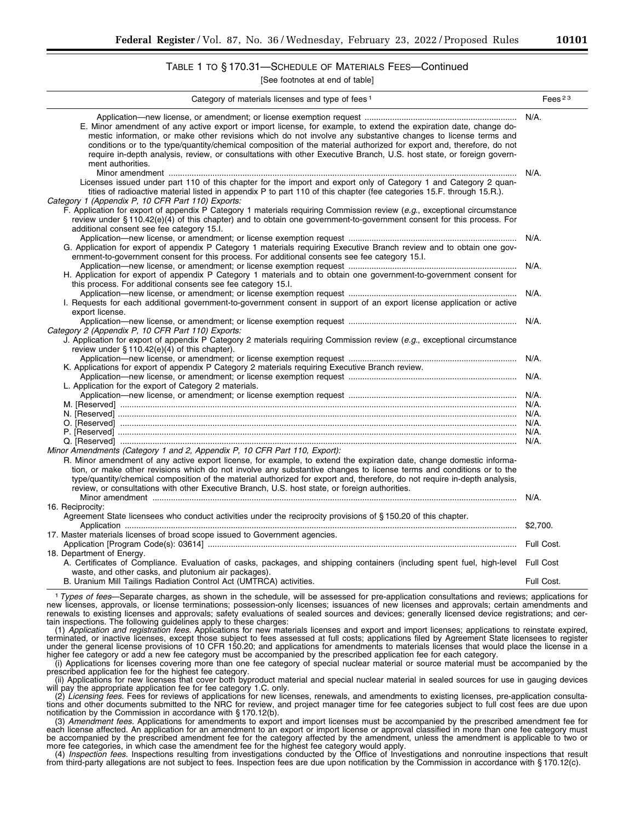## TABLE 1 TO § 170.31—SCHEDULE OF MATERIALS FEES—Continued

[See footnotes at end of table]

| Category of materials licenses and type of fees <sup>1</sup>                                                                                                                                                                                                                                                                                                                                                                                                                                                                                                                                    | Fees <sup>23</sup> |
|-------------------------------------------------------------------------------------------------------------------------------------------------------------------------------------------------------------------------------------------------------------------------------------------------------------------------------------------------------------------------------------------------------------------------------------------------------------------------------------------------------------------------------------------------------------------------------------------------|--------------------|
| E. Minor amendment of any active export or import license, for example, to extend the expiration date, change do-<br>mestic information, or make other revisions which do not involve any substantive changes to license terms and<br>conditions or to the type/quantity/chemical composition of the material authorized for export and, therefore, do not<br>require in-depth analysis, review, or consultations with other Executive Branch, U.S. host state, or foreign govern-<br>ment authorities.                                                                                         | $N/A$ .            |
| Licenses issued under part 110 of this chapter for the import and export only of Category 1 and Category 2 quan-<br>tities of radioactive material listed in appendix P to part 110 of this chapter (fee categories 15.F. through 15.R.).<br>Category 1 (Appendix P, 10 CFR Part 110) Exports:<br>F. Application for export of appendix P Category 1 materials requiring Commission review (e.g., exceptional circumstance<br>review under §110.42(e)(4) of this chapter) and to obtain one government-to-government consent for this process. For<br>additional consent see fee category 15.I. | N/A.               |
| G. Application for export of appendix P Category 1 materials requiring Executive Branch review and to obtain one gov-<br>ernment-to-government consent for this process. For additional consents see fee category 15.I.                                                                                                                                                                                                                                                                                                                                                                         | $N/A$ .            |
| H. Application for export of appendix P Category 1 materials and to obtain one government-to-government consent for<br>this process. For additional consents see fee category 15.1.                                                                                                                                                                                                                                                                                                                                                                                                             |                    |
| I. Requests for each additional government-to-government consent in support of an export license application or active<br>export license.                                                                                                                                                                                                                                                                                                                                                                                                                                                       | N/A.               |
| Category 2 (Appendix P, 10 CFR Part 110) Exports:<br>J. Application for export of appendix P Category 2 materials requiring Commission review (e.g., exceptional circumstance<br>review under $\S 110.42(e)(4)$ of this chapter).                                                                                                                                                                                                                                                                                                                                                               |                    |
| K. Applications for export of appendix P Category 2 materials requiring Executive Branch review.                                                                                                                                                                                                                                                                                                                                                                                                                                                                                                |                    |
| L. Application for the export of Category 2 materials.                                                                                                                                                                                                                                                                                                                                                                                                                                                                                                                                          |                    |
|                                                                                                                                                                                                                                                                                                                                                                                                                                                                                                                                                                                                 |                    |
|                                                                                                                                                                                                                                                                                                                                                                                                                                                                                                                                                                                                 |                    |
|                                                                                                                                                                                                                                                                                                                                                                                                                                                                                                                                                                                                 |                    |
|                                                                                                                                                                                                                                                                                                                                                                                                                                                                                                                                                                                                 |                    |
|                                                                                                                                                                                                                                                                                                                                                                                                                                                                                                                                                                                                 |                    |
|                                                                                                                                                                                                                                                                                                                                                                                                                                                                                                                                                                                                 |                    |
| Minor Amendments (Category 1 and 2, Appendix P, 10 CFR Part 110, Export):                                                                                                                                                                                                                                                                                                                                                                                                                                                                                                                       |                    |
| R. Minor amendment of any active export license, for example, to extend the expiration date, change domestic informa-<br>tion, or make other revisions which do not involve any substantive changes to license terms and conditions or to the<br>type/quantity/chemical composition of the material authorized for export and, therefore, do not require in-depth analysis,<br>review, or consultations with other Executive Branch, U.S. host state, or foreign authorities.                                                                                                                   |                    |
|                                                                                                                                                                                                                                                                                                                                                                                                                                                                                                                                                                                                 |                    |
| 16. Reciprocity:                                                                                                                                                                                                                                                                                                                                                                                                                                                                                                                                                                                |                    |
| Agreement State licensees who conduct activities under the reciprocity provisions of §150.20 of this chapter.                                                                                                                                                                                                                                                                                                                                                                                                                                                                                   | \$2,700.           |
| 17. Master materials licenses of broad scope issued to Government agencies.                                                                                                                                                                                                                                                                                                                                                                                                                                                                                                                     |                    |
|                                                                                                                                                                                                                                                                                                                                                                                                                                                                                                                                                                                                 |                    |
| 18. Department of Energy.                                                                                                                                                                                                                                                                                                                                                                                                                                                                                                                                                                       |                    |
| A. Certificates of Compliance. Evaluation of casks, packages, and shipping containers (including spent fuel, high-level Full Cost<br>waste, and other casks, and plutonium air packages).                                                                                                                                                                                                                                                                                                                                                                                                       |                    |
| B. Uranium Mill Tailings Radiation Control Act (UMTRCA) activities.                                                                                                                                                                                                                                                                                                                                                                                                                                                                                                                             | Full Cost.         |

1*Types of fees*—Separate charges, as shown in the schedule, will be assessed for pre-application consultations and reviews; applications for new licenses, approvals, or license terminations; possession-only licenses; issuances of new licenses and approvals; certain amendments and renewals to existing licenses and approvals; safety evaluations of sealed sources and devices; generally licensed device registrations; and certain inspections. The following guidelines apply to these charges:

(1) *Application and registration fees.* Applications for new materials licenses and export and import licenses; applications to reinstate expired, terminated, or inactive licenses, except those subject to fees assessed at full costs; applications filed by Agreement State licensees to register under the general license provisions of 10 CFR 150.20; and applications for amendments to materials licenses that would place the license in a higher fee category or add a new fee category must be accompanied by the prescribed application fee for each category.

(i) Applications for licenses covering more than one fee category of special nuclear material or source material must be accompanied by the prescribed application fee for the highest fee category.

(ii) Applications for new licenses that cover both byproduct material and special nuclear material in sealed sources for use in gauging devices will pay the appropriate application fee for fee category 1.C. only.

(2) *Licensing fees.* Fees for reviews of applications for new licenses, renewals, and amendments to existing licenses, pre-application consultations and other documents submitted to the NRC for review, and project manager time for fee categories subject to full cost fees are due upon notification by the Commission in accordance with § 170.12(b).

(3) *Amendment fees.* Applications for amendments to export and import licenses must be accompanied by the prescribed amendment fee for each license affected. An application for an amendment to an export or import license or approval classified in more than one fee category must be accompanied by the prescribed amendment fee for the category affected by the amendment, unless the amendment is applicable to two or more fee categories, in which case the amendment fee for the highest fee category would apply.

(4) *Inspection fees.* Inspections resulting from investigations conducted by the Office of Investigations and nonroutine inspections that result from third-party allegations are not subject to fees. Inspection fees are due upon notification by the Commission in accordance with § 170.12(c).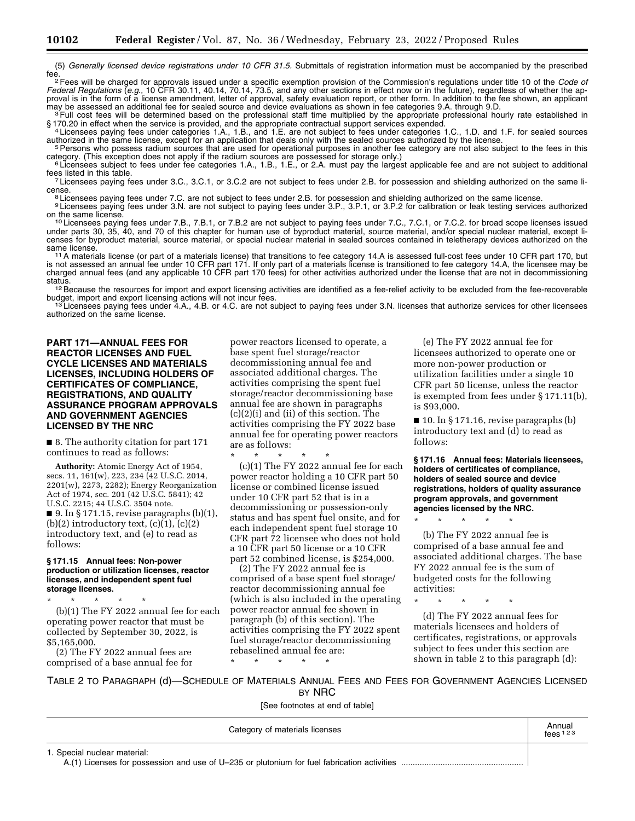(5) *Generally licensed device registrations under 10 CFR 31.5.* Submittals of registration information must be accompanied by the prescribed

fee. 2Fees will be charged for approvals issued under a specific exemption provision of the Commission's regulations under title 10 of the *Code of Federal Regulations* (*e.g.,* 10 CFR 30.11, 40.14, 70.14, 73.5, and any other sections in effect now or in the future), regardless of whether the approval is in the form of a license amendment, letter of approval, safety evaluation report, or other form. In addition to the fee shown, an applicant may be assessed an additional fee for sealed source and device evaluatio may be assessed an additional fee for sealed source and device evaluations as shown in fee categories 9.A. through 9.D.<br><sup>3</sup> Full cost fees will be determined based on the professional staff time multiplied by the appropria

§ 170.20 in effect when the service is provided, and the appropriate contractual support services expended.<br>4 Licensees paying fees under categories 1.A., 1.B., and 1.E. are not subject to fees under categories 1.C., 1.D.

authorized in the same license, except for an application that deals only with the sealed sources authorized by the license.<br><sup>5</sup> Persons who possess radium sources that are used for operational purposes in another fee cate

<sup>5</sup> Persons who possess radium sources that are used for operational purposes in another fee category are not also subject to the fees in this category. (This exception does not apply if the radium sources are possessed fo

fees listed in this table.<br>7 Licensees paying fees under 3.C., 3.C.1, or 3.C.2 are not subject to fees under 2.B. for possession and shielding authorized on the same li-

cense.<br><sup>8</sup> Licensees paying fees under 7.C. are not subject to fees under 2.B. for possession and shielding authorized on the same license.<br><sup>9</sup> Licensees paying fees under 3.N. are not subject to paying fees under 3.P., 3.

10 Licensees paying fees under 7.B., 7.B.1, or 7.B.2 are not subject to paying fees under 7.C., 7.C.1, or 7.C.2. for broad scope licenses issued under parts 30, 35, 40, and 70 of this chapter for human use of byproduct material, source material, and/or special nuclear material, except licenses for byproduct material, source material, or special nuclear material in sealed sources contained in teletherapy devices authorized on the<br>same license.

<sup>11</sup>A materials license (or part of a materials license) that transitions to fee category 14.A is assessed full-cost fees under 10 CFR part 170, but is not assessed an annual fee under 10 CFR part 171. If only part of a materials license is transitioned to fee category 14.A, the licensee may be charged annual fees (and any applicable 10 CFR part 170 fees) for other activities authorized under the license that are not in decommissioning<br>status.

<sup>12</sup> Because the resources for import and export licensing activities are identified as a fee-relief activity to be excluded from the fee-recoverable budget, import and export licensing actions will not incur fees.<br><sup>13</sup> Licensees paying fees under 4.A., 4.B. or 4.C. are not subject to paying fees under 3.N. licenses that authorize services for other licensees

authorized on the same license.

## **PART 171—ANNUAL FEES FOR REACTOR LICENSES AND FUEL CYCLE LICENSES AND MATERIALS LICENSES, INCLUDING HOLDERS OF CERTIFICATES OF COMPLIANCE, REGISTRATIONS, AND QUALITY ASSURANCE PROGRAM APPROVALS AND GOVERNMENT AGENCIES LICENSED BY THE NRC**

■ 8. The authority citation for part 171 continues to read as follows:

**Authority:** Atomic Energy Act of 1954, secs. 11, 161(w), 223, 234 (42 U.S.C. 2014, 2201(w), 2273, 2282); Energy Reorganization Act of 1974, sec. 201 (42 U.S.C. 5841); 42 U.S.C. 2215; 44 U.S.C. 3504 note. ■ 9. In § 171.15, revise paragraphs  $(b)(1)$ , (b)(2) introductory text,  $(c)(1)$ ,  $(c)(2)$ introductory text, and (e) to read as follows:

#### **§ 171.15 Annual fees: Non-power production or utilization licenses, reactor licenses, and independent spent fuel storage licenses.**

\* \* \* \* \*

(b)(1) The FY 2022 annual fee for each operating power reactor that must be collected by September 30, 2022, is \$5,165,000.

(2) The FY 2022 annual fees are comprised of a base annual fee for

power reactors licensed to operate, a base spent fuel storage/reactor decommissioning annual fee and associated additional charges. The activities comprising the spent fuel storage/reactor decommissioning base annual fee are shown in paragraphs (c)(2)(i) and (ii) of this section. The activities comprising the FY 2022 base annual fee for operating power reactors are as follows:

\* \* \* \* \* (c)(1) The FY 2022 annual fee for each power reactor holding a 10 CFR part 50 license or combined license issued under 10 CFR part 52 that is in a decommissioning or possession-only status and has spent fuel onsite, and for each independent spent fuel storage 10 CFR part 72 licensee who does not hold a 10 CFR part 50 license or a 10 CFR part 52 combined license, is \$254,000.

(2) The FY 2022 annual fee is comprised of a base spent fuel storage/ reactor decommissioning annual fee (which is also included in the operating power reactor annual fee shown in paragraph (b) of this section). The activities comprising the FY 2022 spent fuel storage/reactor decommissioning rebaselined annual fee are: \* \* \* \* \*

(e) The FY 2022 annual fee for licensees authorized to operate one or more non-power production or utilization facilities under a single 10 CFR part 50 license, unless the reactor is exempted from fees under § 171.11(b), is \$93,000.

■ 10. In § 171.16, revise paragraphs (b) introductory text and (d) to read as follows:

**§ 171.16 Annual fees: Materials licensees, holders of certificates of compliance, holders of sealed source and device registrations, holders of quality assurance program approvals, and government agencies licensed by the NRC.** 

\* \* \* \* \*

(b) The FY 2022 annual fee is comprised of a base annual fee and associated additional charges. The base FY 2022 annual fee is the sum of budgeted costs for the following activities:

\* \* \* \* \*

(d) The FY 2022 annual fees for materials licensees and holders of certificates, registrations, or approvals subject to fees under this section are shown in table 2 to this paragraph (d):

TABLE 2 TO PARAGRAPH (d)—SCHEDULE OF MATERIALS ANNUAL FEES AND FEES FOR GOVERNMENT AGENCIES LICENSED BY NRC

| Category of materials licenses | Annual<br>fees $123$ |
|--------------------------------|----------------------|
| 1. Special nuclear material:   |                      |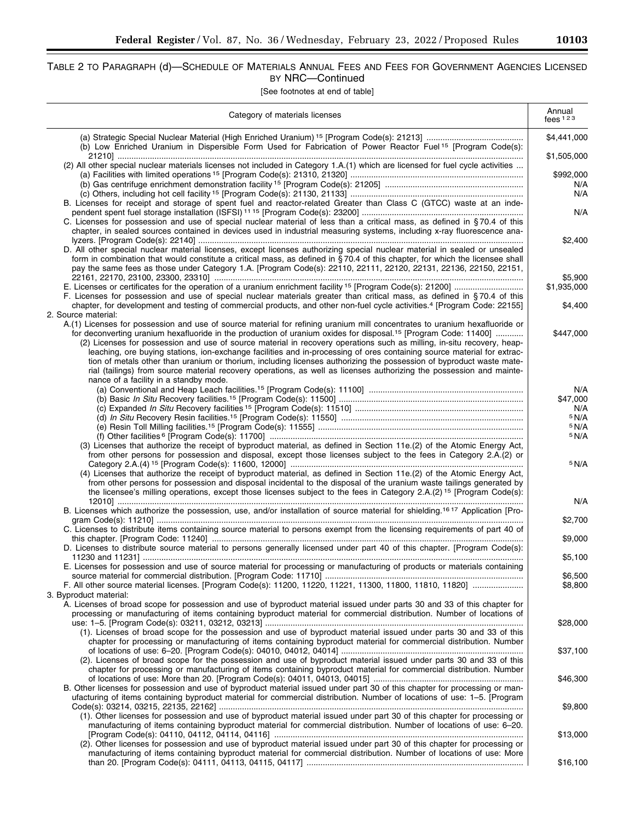# TABLE 2 TO PARAGRAPH (d)—SCHEDULE OF MATERIALS ANNUAL FEES AND FEES FOR GOVERNMENT AGENCIES LICENSED BY NRC—Continued

[See footnotes at end of table]

| Category of materials licenses                                                                                                                                                                                                                                                                                                                                                                                                                                                                                                                                                                                                                                                                                                                                 | Annual<br>fees $123$    |
|----------------------------------------------------------------------------------------------------------------------------------------------------------------------------------------------------------------------------------------------------------------------------------------------------------------------------------------------------------------------------------------------------------------------------------------------------------------------------------------------------------------------------------------------------------------------------------------------------------------------------------------------------------------------------------------------------------------------------------------------------------------|-------------------------|
|                                                                                                                                                                                                                                                                                                                                                                                                                                                                                                                                                                                                                                                                                                                                                                | \$4,441,000             |
| (b) Low Enriched Uranium in Dispersible Form Used for Fabrication of Power Reactor Fuel <sup>15</sup> [Program Code(s):                                                                                                                                                                                                                                                                                                                                                                                                                                                                                                                                                                                                                                        | \$1,505,000             |
| (2) All other special nuclear materials licenses not included in Category 1.A.(1) which are licensed for fuel cycle activities                                                                                                                                                                                                                                                                                                                                                                                                                                                                                                                                                                                                                                 | \$992,000<br>N/A<br>N/A |
| B. Licenses for receipt and storage of spent fuel and reactor-related Greater than Class C (GTCC) waste at an inde-                                                                                                                                                                                                                                                                                                                                                                                                                                                                                                                                                                                                                                            | N/A                     |
| C. Licenses for possession and use of special nuclear material of less than a critical mass, as defined in §70.4 of this<br>chapter, in sealed sources contained in devices used in industrial measuring systems, including x-ray fluorescence ana-                                                                                                                                                                                                                                                                                                                                                                                                                                                                                                            | \$2.400                 |
| D. All other special nuclear material licenses, except licenses authorizing special nuclear material in sealed or unsealed<br>form in combination that would constitute a critical mass, as defined in §70.4 of this chapter, for which the licensee shall<br>pay the same fees as those under Category 1.A. [Program Code(s): 22110, 22111, 22120, 22131, 22136, 22150, 22151,                                                                                                                                                                                                                                                                                                                                                                                |                         |
| F. Licenses for possession and use of special nuclear materials greater than critical mass, as defined in §70.4 of this                                                                                                                                                                                                                                                                                                                                                                                                                                                                                                                                                                                                                                        | \$5,900<br>\$1,935,000  |
| chapter, for development and testing of commercial products, and other non-fuel cycle activities. <sup>4</sup> [Program Code: 22155]<br>2. Source material:                                                                                                                                                                                                                                                                                                                                                                                                                                                                                                                                                                                                    | \$4,400                 |
| A.(1) Licenses for possession and use of source material for refining uranium mill concentrates to uranium hexafluoride or<br>for deconverting uranium hexafluoride in the production of uranium oxides for disposal. <sup>15</sup> [Program Code: 11400]<br>(2) Licenses for possession and use of source material in recovery operations such as milling, in-situ recovery, heap-<br>leaching, ore buying stations, ion-exchange facilities and in-processing of ores containing source material for extrac-<br>tion of metals other than uranium or thorium, including licenses authorizing the possession of byproduct waste mate-<br>rial (tailings) from source material recovery operations, as well as licenses authorizing the possession and mainte- | \$447,000               |
| nance of a facility in a standby mode.                                                                                                                                                                                                                                                                                                                                                                                                                                                                                                                                                                                                                                                                                                                         | N/A                     |
|                                                                                                                                                                                                                                                                                                                                                                                                                                                                                                                                                                                                                                                                                                                                                                | \$47,000                |
|                                                                                                                                                                                                                                                                                                                                                                                                                                                                                                                                                                                                                                                                                                                                                                | N/A<br>5 N/A            |
|                                                                                                                                                                                                                                                                                                                                                                                                                                                                                                                                                                                                                                                                                                                                                                | 5 N/A                   |
|                                                                                                                                                                                                                                                                                                                                                                                                                                                                                                                                                                                                                                                                                                                                                                | 5 N/A                   |
| (3) Licenses that authorize the receipt of byproduct material, as defined in Section 11e.(2) of the Atomic Energy Act,<br>from other persons for possession and disposal, except those licenses subject to the fees in Category 2.A.(2) or                                                                                                                                                                                                                                                                                                                                                                                                                                                                                                                     |                         |
| (4) Licenses that authorize the receipt of byproduct material, as defined in Section 11e.(2) of the Atomic Energy Act,<br>from other persons for possession and disposal incidental to the disposal of the uranium waste tailings generated by<br>the licensee's milling operations, except those licenses subject to the fees in Category 2.A.(2) <sup>15</sup> [Program Code(s):                                                                                                                                                                                                                                                                                                                                                                             | 5 N/A                   |
| B. Licenses which authorize the possession, use, and/or installation of source material for shielding. <sup>1617</sup> Application [Pro-                                                                                                                                                                                                                                                                                                                                                                                                                                                                                                                                                                                                                       | N/A                     |
|                                                                                                                                                                                                                                                                                                                                                                                                                                                                                                                                                                                                                                                                                                                                                                | \$2,700                 |
| C. Licenses to distribute items containing source material to persons exempt from the licensing requirements of part 40 of<br>D. Licenses to distribute source material to persons generally licensed under part 40 of this chapter. [Program Code(s):                                                                                                                                                                                                                                                                                                                                                                                                                                                                                                         | \$9,000                 |
|                                                                                                                                                                                                                                                                                                                                                                                                                                                                                                                                                                                                                                                                                                                                                                | \$5,100                 |
| E. Licenses for possession and use of source material for processing or manufacturing of products or materials containing                                                                                                                                                                                                                                                                                                                                                                                                                                                                                                                                                                                                                                      | \$6,500                 |
|                                                                                                                                                                                                                                                                                                                                                                                                                                                                                                                                                                                                                                                                                                                                                                | \$8,800                 |
| 3. Byproduct material:<br>A. Licenses of broad scope for possession and use of byproduct material issued under parts 30 and 33 of this chapter for<br>processing or manufacturing of items containing byproduct material for commercial distribution. Number of locations of                                                                                                                                                                                                                                                                                                                                                                                                                                                                                   |                         |
| (1). Licenses of broad scope for the possession and use of byproduct material issued under parts 30 and 33 of this                                                                                                                                                                                                                                                                                                                                                                                                                                                                                                                                                                                                                                             | \$28,000                |
| chapter for processing or manufacturing of items containing byproduct material for commercial distribution. Number                                                                                                                                                                                                                                                                                                                                                                                                                                                                                                                                                                                                                                             | \$37,100                |
| (2). Licenses of broad scope for the possession and use of byproduct material issued under parts 30 and 33 of this<br>chapter for processing or manufacturing of items containing byproduct material for commercial distribution. Number                                                                                                                                                                                                                                                                                                                                                                                                                                                                                                                       |                         |
| B. Other licenses for possession and use of byproduct material issued under part 30 of this chapter for processing or man-                                                                                                                                                                                                                                                                                                                                                                                                                                                                                                                                                                                                                                     | \$46,300                |
| ufacturing of items containing byproduct material for commercial distribution. Number of locations of use: 1-5. [Program<br>(1). Other licenses for possession and use of byproduct material issued under part 30 of this chapter for processing or                                                                                                                                                                                                                                                                                                                                                                                                                                                                                                            | \$9,800                 |
| manufacturing of items containing byproduct material for commercial distribution. Number of locations of use: 6–20.                                                                                                                                                                                                                                                                                                                                                                                                                                                                                                                                                                                                                                            |                         |
| (2). Other licenses for possession and use of byproduct material issued under part 30 of this chapter for processing or                                                                                                                                                                                                                                                                                                                                                                                                                                                                                                                                                                                                                                        | \$13,000                |
| manufacturing of items containing byproduct material for commercial distribution. Number of locations of use: More                                                                                                                                                                                                                                                                                                                                                                                                                                                                                                                                                                                                                                             | \$16,100                |

 $\equiv$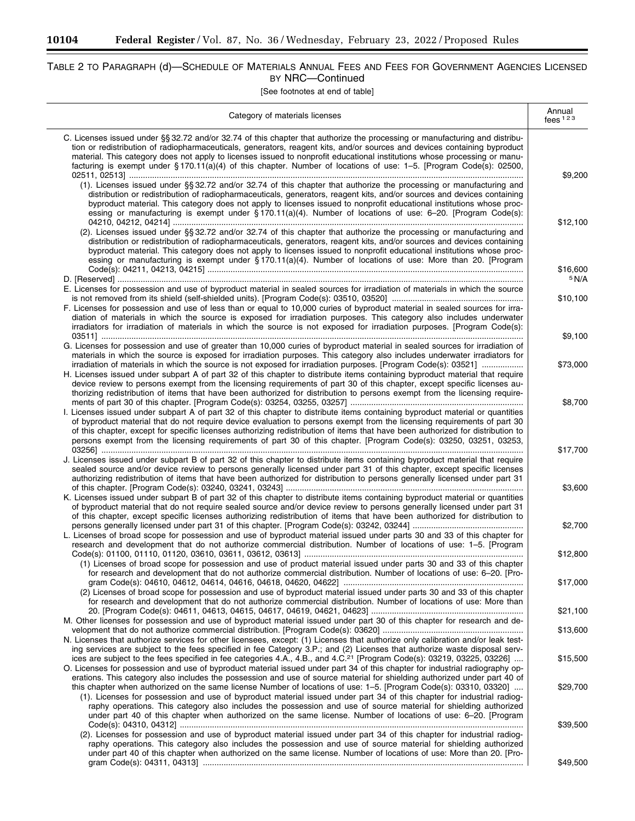$\equiv$ 

L.

٠

# TABLE 2 TO PARAGRAPH (d)—SCHEDULE OF MATERIALS ANNUAL FEES AND FEES FOR GOVERNMENT AGENCIES LICENSED BY NRC—Continued

| Category of materials licenses                                                                                                                                                                                                                                                                                                                                                                                                                                                                                    | Annual<br>fees $123$ |
|-------------------------------------------------------------------------------------------------------------------------------------------------------------------------------------------------------------------------------------------------------------------------------------------------------------------------------------------------------------------------------------------------------------------------------------------------------------------------------------------------------------------|----------------------|
| C. Licenses issued under §§ 32.72 and/or 32.74 of this chapter that authorize the processing or manufacturing and distribu-<br>tion or redistribution of radiopharmaceuticals, generators, reagent kits, and/or sources and devices containing byproduct<br>material. This category does not apply to licenses issued to nonprofit educational institutions whose processing or manu-<br>facturing is exempt under §170.11(a)(4) of this chapter. Number of locations of use: 1-5. [Program Code(s): 02500,       | \$9,200              |
| (1). Licenses issued under §§ 32.72 and/or 32.74 of this chapter that authorize the processing or manufacturing and<br>distribution or redistribution of radiopharmaceuticals, generators, reagent kits, and/or sources and devices containing<br>byproduct material. This category does not apply to licenses issued to nonprofit educational institutions whose proc-<br>essing or manufacturing is exempt under §170.11(a)(4). Number of locations of use: 6-20. [Program Code(s):                             | \$12,100             |
| (2). Licenses issued under §§ 32.72 and/or 32.74 of this chapter that authorize the processing or manufacturing and<br>distribution or redistribution of radiopharmaceuticals, generators, reagent kits, and/or sources and devices containing<br>byproduct material. This category does not apply to licenses issued to nonprofit educational institutions whose proc-<br>essing or manufacturing is exempt under §170.11(a)(4). Number of locations of use: More than 20. [Program                              | \$16,600             |
|                                                                                                                                                                                                                                                                                                                                                                                                                                                                                                                   | 5 N/A                |
| E. Licenses for possession and use of byproduct material in sealed sources for irradiation of materials in which the source<br>F. Licenses for possession and use of less than or equal to 10,000 curies of byproduct material in sealed sources for irra-<br>diation of materials in which the source is exposed for irradiation purposes. This category also includes underwater<br>irradiators for irradiation of materials in which the source is not exposed for irradiation purposes. [Program Code(s):     | \$10,100             |
| G. Licenses for possession and use of greater than 10,000 curies of byproduct material in sealed sources for irradiation of<br>materials in which the source is exposed for irradiation purposes. This category also includes underwater irradiators for                                                                                                                                                                                                                                                          | \$9,100              |
| irradiation of materials in which the source is not exposed for irradiation purposes. [Program Code(s): 03521]<br>H. Licenses issued under subpart A of part 32 of this chapter to distribute items containing byproduct material that require<br>device review to persons exempt from the licensing requirements of part 30 of this chapter, except specific licenses au-<br>thorizing redistribution of items that have been authorized for distribution to persons exempt from the licensing require-          | \$73,000             |
| I. Licenses issued under subpart A of part 32 of this chapter to distribute items containing byproduct material or quantities<br>of byproduct material that do not require device evaluation to persons exempt from the licensing requirements of part 30<br>of this chapter, except for specific licenses authorizing redistribution of items that have been authorized for distribution to<br>persons exempt from the licensing requirements of part 30 of this chapter. [Program Code(s): 03250, 03251, 03253, | \$8,700              |
| J. Licenses issued under subpart B of part 32 of this chapter to distribute items containing byproduct material that require<br>sealed source and/or device review to persons generally licensed under part 31 of this chapter, except specific licenses<br>authorizing redistribution of items that have been authorized for distribution to persons generally licensed under part 31                                                                                                                            | \$17,700<br>\$3,600  |
| K. Licenses issued under subpart B of part 32 of this chapter to distribute items containing byproduct material or quantities<br>of byproduct material that do not require sealed source and/or device review to persons generally licensed under part 31<br>of this chapter, except specific licenses authorizing redistribution of items that have been authorized for distribution to                                                                                                                          |                      |
| L. Licenses of broad scope for possession and use of byproduct material issued under parts 30 and 33 of this chapter for<br>research and development that do not authorize commercial distribution. Number of locations of use: 1-5. [Program                                                                                                                                                                                                                                                                     | \$2,700              |
| (1) Licenses of broad scope for possession and use of product material issued under parts 30 and 33 of this chapter<br>for research and development that do not authorize commercial distribution. Number of locations of use: 6–20. [Pro-                                                                                                                                                                                                                                                                        | \$12,800             |
| (2) Licenses of broad scope for possession and use of byproduct material issued under parts 30 and 33 of this chapter<br>for research and development that do not authorize commercial distribution. Number of locations of use: More than                                                                                                                                                                                                                                                                        | \$17,000             |
| M. Other licenses for possession and use of byproduct material issued under part 30 of this chapter for research and de-                                                                                                                                                                                                                                                                                                                                                                                          | \$21,100             |
| N. Licenses that authorize services for other licensees, except: (1) Licenses that authorize only calibration and/or leak test-<br>ing services are subject to the fees specified in fee Category 3.P.; and (2) Licenses that authorize waste disposal serv-                                                                                                                                                                                                                                                      | \$13,600             |
| ices are subject to the fees specified in fee categories 4.A., 4.B., and 4.C. <sup>21</sup> [Program Code(s): 03219, 03225, 03226]<br>O. Licenses for possession and use of byproduct material issued under part 34 of this chapter for industrial radiography op-<br>erations. This category also includes the possession and use of source material for shielding authorized under part 40 of                                                                                                                   | \$15,500             |
| this chapter when authorized on the same license Number of locations of use: 1–5. [Program Code(s): 03310, 03320]<br>(1). Licenses for possession and use of byproduct material issued under part 34 of this chapter for industrial radiog-<br>raphy operations. This category also includes the possession and use of source material for shielding authorized<br>under part 40 of this chapter when authorized on the same license. Number of locations of use: 6-20. [Program                                  | \$29,700             |
| (2). Licenses for possession and use of byproduct material issued under part 34 of this chapter for industrial radiog-<br>raphy operations. This category also includes the possession and use of source material for shielding authorized<br>under part 40 of this chapter when authorized on the same license. Number of locations of use: More than 20. [Pro-                                                                                                                                                  | \$39,500             |
|                                                                                                                                                                                                                                                                                                                                                                                                                                                                                                                   | \$49,500             |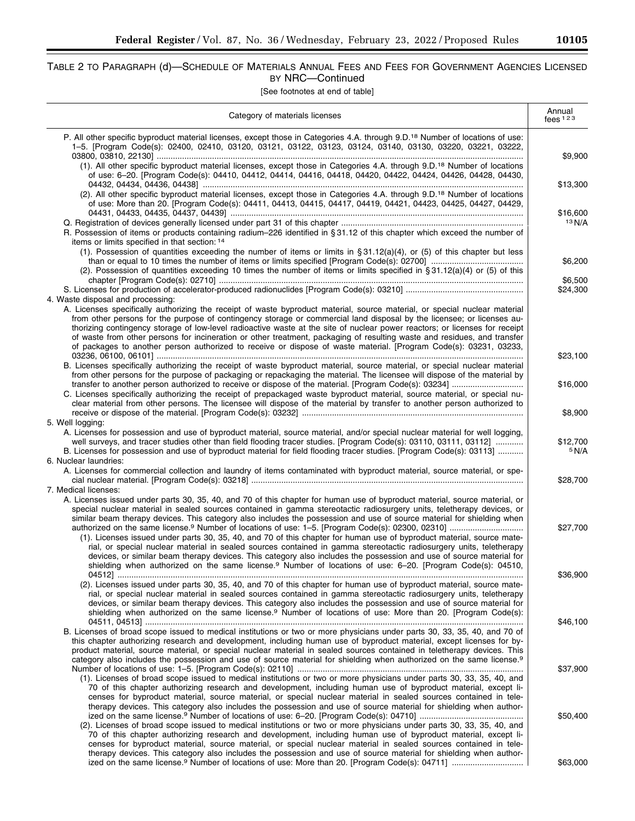## TABLE 2 TO PARAGRAPH (d)—SCHEDULE OF MATERIALS ANNUAL FEES AND FEES FOR GOVERNMENT AGENCIES LICENSED BY NRC—Continued

[See footnotes at end of table]

| Category of materials licenses                                                                                                                                                                                                                                                                                                                                                                                                                                                                                                                                                                                                       | Annual<br>fees $123$ |
|--------------------------------------------------------------------------------------------------------------------------------------------------------------------------------------------------------------------------------------------------------------------------------------------------------------------------------------------------------------------------------------------------------------------------------------------------------------------------------------------------------------------------------------------------------------------------------------------------------------------------------------|----------------------|
| P. All other specific byproduct material licenses, except those in Categories 4.A. through 9.D. <sup>18</sup> Number of locations of use:<br>1-5. [Program Code(s): 02400, 02410, 03120, 03121, 03122, 03123, 03124, 03140, 03130, 03220, 03221, 03222,                                                                                                                                                                                                                                                                                                                                                                              | \$9,900              |
| (1). All other specific byproduct material licenses, except those in Categories 4.A. through 9.D. <sup>18</sup> Number of locations<br>of use: 6-20. [Program Code(s): 04410, 04412, 04414, 04416, 04418, 04420, 04422, 04424, 04426, 04428, 04430,                                                                                                                                                                                                                                                                                                                                                                                  | \$13,300             |
| (2). All other specific byproduct material licenses, except those in Categories 4.A. through 9.D. <sup>18</sup> Number of locations<br>of use: More than 20. [Program Code(s): 04411, 04413, 04415, 04417, 04419, 04421, 04423, 04425, 04427, 04429,                                                                                                                                                                                                                                                                                                                                                                                 |                      |
| R. Possession of items or products containing radium–226 identified in §31.12 of this chapter which exceed the number of<br>items or limits specified in that section: 14                                                                                                                                                                                                                                                                                                                                                                                                                                                            | \$16,600<br>13 N/A   |
| (1). Possession of quantities exceeding the number of items or limits in $\S 31.12(a)(4)$ , or (5) of this chapter but less<br>(2). Possession of quantities exceeding 10 times the number of items or limits specified in §31.12(a)(4) or (5) of this                                                                                                                                                                                                                                                                                                                                                                               | \$6,200              |
| 4. Waste disposal and processing:                                                                                                                                                                                                                                                                                                                                                                                                                                                                                                                                                                                                    | \$6,500<br>\$24,300  |
| A. Licenses specifically authorizing the receipt of waste byproduct material, source material, or special nuclear material<br>from other persons for the purpose of contingency storage or commercial land disposal by the licensee; or licenses au-<br>thorizing contingency storage of low-level radioactive waste at the site of nuclear power reactors; or licenses for receipt<br>of waste from other persons for incineration or other treatment, packaging of resulting waste and residues, and transfer<br>of packages to another person authorized to receive or dispose of waste material. [Program Code(s): 03231, 03233, | \$23,100             |
| B. Licenses specifically authorizing the receipt of waste byproduct material, source material, or special nuclear material<br>from other persons for the purpose of packaging or repackaging the material. The licensee will dispose of the material by                                                                                                                                                                                                                                                                                                                                                                              | \$16,000             |
| C. Licenses specifically authorizing the receipt of prepackaged waste byproduct material, source material, or special nu-<br>clear material from other persons. The licensee will dispose of the material by transfer to another person authorized to                                                                                                                                                                                                                                                                                                                                                                                | \$8,900              |
| 5. Well logging:<br>A. Licenses for possession and use of byproduct material, source material, and/or special nuclear material for well logging,                                                                                                                                                                                                                                                                                                                                                                                                                                                                                     |                      |
| well surveys, and tracer studies other than field flooding tracer studies. [Program Code(s): 03110, 03111, 03112]<br>B. Licenses for possession and use of byproduct material for field flooding tracer studies. [Program Code(s): 03113]<br>6. Nuclear laundries:                                                                                                                                                                                                                                                                                                                                                                   | \$12,700<br>5 N/A    |
| A. Licenses for commercial collection and laundry of items contaminated with byproduct material, source material, or spe-<br>7. Medical licenses:                                                                                                                                                                                                                                                                                                                                                                                                                                                                                    | \$28,700             |
| A. Licenses issued under parts 30, 35, 40, and 70 of this chapter for human use of byproduct material, source material, or<br>special nuclear material in sealed sources contained in gamma stereotactic radiosurgery units, teletherapy devices, or<br>similar beam therapy devices. This category also includes the possession and use of source material for shielding when                                                                                                                                                                                                                                                       | \$27,700             |
| (1). Licenses issued under parts 30, 35, 40, and 70 of this chapter for human use of byproduct material, source mate-<br>rial, or special nuclear material in sealed sources contained in gamma stereotactic radiosurgery units, teletherapy<br>devices, or similar beam therapy devices. This category also includes the possession and use of source material for<br>shielding when authorized on the same license. <sup>9</sup> Number of locations of use: 6-20. [Program Code(s): 04510,                                                                                                                                        |                      |
| (2). Licenses issued under parts 30, 35, 40, and 70 of this chapter for human use of byproduct material, source mate-<br>rial, or special nuclear material in sealed sources contained in gamma stereotactic radiosurgery units, teletherapy<br>devices, or similar beam therapy devices. This category also includes the possession and use of source material for                                                                                                                                                                                                                                                                  | \$36,900             |
| shielding when authorized on the same license. <sup>9</sup> Number of locations of use: More than 20. [Program Code(s):<br>B. Licenses of broad scope issued to medical institutions or two or more physicians under parts 30, 33, 35, 40, and 70 of<br>this chapter authorizing research and development, including human use of byproduct material, except licenses for by-<br>product material, source material, or special nuclear material in sealed sources contained in teletherapy devices. This                                                                                                                             | \$46,100             |
| category also includes the possession and use of source material for shielding when authorized on the same license. <sup>9</sup><br>(1). Licenses of broad scope issued to medical institutions or two or more physicians under parts 30, 33, 35, 40, and<br>70 of this chapter authorizing research and development, including human use of byproduct material, except li-                                                                                                                                                                                                                                                          | \$37,900             |
| censes for byproduct material, source material, or special nuclear material in sealed sources contained in tele-<br>therapy devices. This category also includes the possession and use of source material for shielding when author-<br>(2). Licenses of broad scope issued to medical institutions or two or more physicians under parts 30, 33, 35, 40, and<br>70 of this chapter authorizing research and development, including human use of byproduct material, except li-<br>censes for byproduct material, source material, or special nuclear material in sealed sources contained in tele-                                 | \$50,400             |
| therapy devices. This category also includes the possession and use of source material for shielding when author-                                                                                                                                                                                                                                                                                                                                                                                                                                                                                                                    | \$63,000             |

۰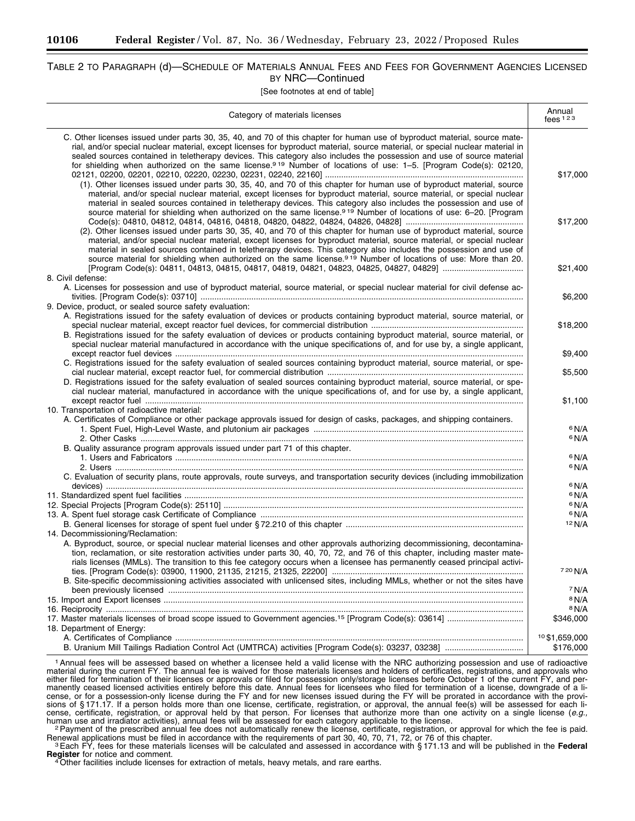## TABLE 2 TO PARAGRAPH (d)—SCHEDULE OF MATERIALS ANNUAL FEES AND FEES FOR GOVERNMENT AGENCIES LICENSED BY NRC—Continued

[See footnotes at end of table]

| Category of materials licenses                                                                                                                                                                                                                                                                                                                                                                                                                                                                           | Annual<br>fees $123$                 |
|----------------------------------------------------------------------------------------------------------------------------------------------------------------------------------------------------------------------------------------------------------------------------------------------------------------------------------------------------------------------------------------------------------------------------------------------------------------------------------------------------------|--------------------------------------|
| C. Other licenses issued under parts 30, 35, 40, and 70 of this chapter for human use of byproduct material, source mate-<br>rial, and/or special nuclear material, except licenses for byproduct material, source material, or special nuclear material in<br>sealed sources contained in teletherapy devices. This category also includes the possession and use of source material<br>for shielding when authorized on the same license.919 Number of locations of use: 1-5. [Program Code(s): 02120, | \$17,000                             |
| (1). Other licenses issued under parts 30, 35, 40, and 70 of this chapter for human use of byproduct material, source<br>material, and/or special nuclear material, except licenses for byproduct material, source material, or special nuclear<br>material in sealed sources contained in teletherapy devices. This category also includes the possession and use of<br>source material for shielding when authorized on the same license. <sup>919</sup> Number of locations of use: 6-20. [Program    | \$17,200                             |
| (2). Other licenses issued under parts 30, 35, 40, and 70 of this chapter for human use of byproduct material, source<br>material, and/or special nuclear material, except licenses for byproduct material, source material, or special nuclear<br>material in sealed sources contained in teletherapy devices. This category also includes the possession and use of<br>source material for shielding when authorized on the same license. <sup>919</sup> Number of locations of use: More than 20.     | \$21,400                             |
| 8. Civil defense:<br>A. Licenses for possession and use of byproduct material, source material, or special nuclear material for civil defense ac-                                                                                                                                                                                                                                                                                                                                                        | \$6,200                              |
| 9. Device, product, or sealed source safety evaluation:<br>A. Registrations issued for the safety evaluation of devices or products containing byproduct material, source material, or<br>B. Registrations issued for the safety evaluation of devices or products containing byproduct material, source material, or                                                                                                                                                                                    | \$18,200                             |
| special nuclear material manufactured in accordance with the unique specifications of, and for use by, a single applicant,                                                                                                                                                                                                                                                                                                                                                                               | \$9,400                              |
| C. Registrations issued for the safety evaluation of sealed sources containing byproduct material, source material, or spe-<br>D. Registrations issued for the safety evaluation of sealed sources containing byproduct material, source material, or spe-<br>cial nuclear material, manufactured in accordance with the unique specifications of, and for use by, a single applicant,                                                                                                                   | \$5,500                              |
|                                                                                                                                                                                                                                                                                                                                                                                                                                                                                                          | \$1,100                              |
| 10. Transportation of radioactive material:<br>A. Certificates of Compliance or other package approvals issued for design of casks, packages, and shipping containers.                                                                                                                                                                                                                                                                                                                                   | 6 N/A                                |
| B. Quality assurance program approvals issued under part 71 of this chapter.                                                                                                                                                                                                                                                                                                                                                                                                                             | <sup>6</sup> N/A                     |
|                                                                                                                                                                                                                                                                                                                                                                                                                                                                                                          | 6 N/A                                |
| C. Evaluation of security plans, route approvals, route surveys, and transportation security devices (including immobilization                                                                                                                                                                                                                                                                                                                                                                           | 6 N/A                                |
|                                                                                                                                                                                                                                                                                                                                                                                                                                                                                                          | 6 N/A                                |
|                                                                                                                                                                                                                                                                                                                                                                                                                                                                                                          | 6 N/A<br>6 N/A                       |
|                                                                                                                                                                                                                                                                                                                                                                                                                                                                                                          | 6 N/A                                |
|                                                                                                                                                                                                                                                                                                                                                                                                                                                                                                          | 12 N/A                               |
| 14. Decommissioning/Reclamation:                                                                                                                                                                                                                                                                                                                                                                                                                                                                         |                                      |
| A. Byproduct, source, or special nuclear material licenses and other approvals authorizing decommissioning, decontamina-<br>tion, reclamation, or site restoration activities under parts 30, 40, 70, 72, and 76 of this chapter, including master mate-                                                                                                                                                                                                                                                 |                                      |
| rials licenses (MMLs). The transition to this fee category occurs when a licensee has permanently ceased principal activi-                                                                                                                                                                                                                                                                                                                                                                               |                                      |
|                                                                                                                                                                                                                                                                                                                                                                                                                                                                                                          | 7 20 N/A                             |
| B. Site-specific decommissioning activities associated with unlicensed sites, including MMLs, whether or not the sites have                                                                                                                                                                                                                                                                                                                                                                              |                                      |
|                                                                                                                                                                                                                                                                                                                                                                                                                                                                                                          | <sup>7</sup> N/A<br><sup>8</sup> N/A |
|                                                                                                                                                                                                                                                                                                                                                                                                                                                                                                          | <sup>8</sup> N/A                     |
|                                                                                                                                                                                                                                                                                                                                                                                                                                                                                                          | \$346,000                            |
| 18. Department of Energy:                                                                                                                                                                                                                                                                                                                                                                                                                                                                                |                                      |
|                                                                                                                                                                                                                                                                                                                                                                                                                                                                                                          | 10\$1.659.000                        |
|                                                                                                                                                                                                                                                                                                                                                                                                                                                                                                          | \$176,000                            |

<sup>1</sup> Annual fees will be assessed based on whether a licensee held a valid license with the NRC authorizing possession and use of radioactive material during the current FY. The annual fee is waived for those materials licenses and holders of certificates, registrations, and approvals who either filed for termination of their licenses or approvals or filed for possession only/storage licenses before October 1 of the current FY, and permanently ceased licensed activities entirely before this date. Annual fees for licensees who filed for termination of a license, downgrade of a license, or for a possession-only license during the FY and for new licenses issued during the FY will be prorated in accordance with the provisions of § 171.17. If a person holds more than one license, certificate, registration, or approval, the annual fee(s) will be assessed for each license, certificate, registration, or approval held by that person. For licenses that authorize more than one activity on a single license (*e.g.,* 

human use and irradiator activities), annual fees will be assessed for each category applicable to the license.<br>Payment of the prescribed annual fee does not automatically renew the license, certificate, registration, or a

Renewal applications must be filed in accordance with the requirements of part 30, 40, 70, 71, 72, or 76 of this chapter.<br><sup>3</sup> Each FY, fees for these materials licenses will be calculated and assessed in accordance with §

**Register** for notice and comment.<br><sup>4</sup>Other facilities include licenses for extraction of metals, heavy metals, and rare earths.